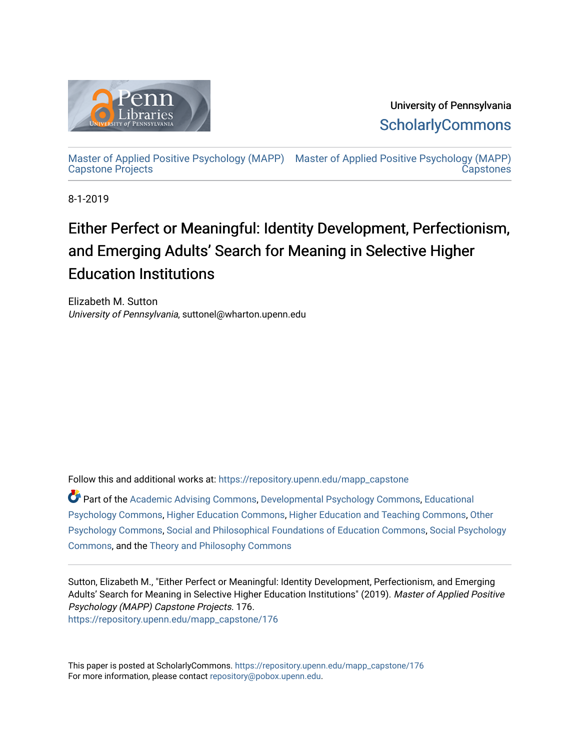

University of Pennsylvania **ScholarlyCommons** 

[Master of Applied Positive Psychology \(MAPP\)](https://repository.upenn.edu/mapp_capstone) [Master of Applied Positive Psychology \(MAPP\)](https://repository.upenn.edu/mapp_capstones)  [Capstone Projects](https://repository.upenn.edu/mapp_capstone)  **Capstones** 

8-1-2019

# Either Perfect or Meaningful: Identity Development, Perfectionism, and Emerging Adults' Search for Meaning in Selective Higher Education Institutions

Elizabeth M. Sutton University of Pennsylvania, suttonel@wharton.upenn.edu

Follow this and additional works at: [https://repository.upenn.edu/mapp\\_capstone](https://repository.upenn.edu/mapp_capstone?utm_source=repository.upenn.edu%2Fmapp_capstone%2F176&utm_medium=PDF&utm_campaign=PDFCoverPages) 

Part of the [Academic Advising Commons](http://network.bepress.com/hgg/discipline/1403?utm_source=repository.upenn.edu%2Fmapp_capstone%2F176&utm_medium=PDF&utm_campaign=PDFCoverPages), [Developmental Psychology Commons,](http://network.bepress.com/hgg/discipline/410?utm_source=repository.upenn.edu%2Fmapp_capstone%2F176&utm_medium=PDF&utm_campaign=PDFCoverPages) [Educational](http://network.bepress.com/hgg/discipline/798?utm_source=repository.upenn.edu%2Fmapp_capstone%2F176&utm_medium=PDF&utm_campaign=PDFCoverPages)  [Psychology Commons,](http://network.bepress.com/hgg/discipline/798?utm_source=repository.upenn.edu%2Fmapp_capstone%2F176&utm_medium=PDF&utm_campaign=PDFCoverPages) [Higher Education Commons,](http://network.bepress.com/hgg/discipline/1245?utm_source=repository.upenn.edu%2Fmapp_capstone%2F176&utm_medium=PDF&utm_campaign=PDFCoverPages) [Higher Education and Teaching Commons](http://network.bepress.com/hgg/discipline/806?utm_source=repository.upenn.edu%2Fmapp_capstone%2F176&utm_medium=PDF&utm_campaign=PDFCoverPages), [Other](http://network.bepress.com/hgg/discipline/415?utm_source=repository.upenn.edu%2Fmapp_capstone%2F176&utm_medium=PDF&utm_campaign=PDFCoverPages)  [Psychology Commons,](http://network.bepress.com/hgg/discipline/415?utm_source=repository.upenn.edu%2Fmapp_capstone%2F176&utm_medium=PDF&utm_campaign=PDFCoverPages) [Social and Philosophical Foundations of Education Commons,](http://network.bepress.com/hgg/discipline/799?utm_source=repository.upenn.edu%2Fmapp_capstone%2F176&utm_medium=PDF&utm_campaign=PDFCoverPages) [Social Psychology](http://network.bepress.com/hgg/discipline/414?utm_source=repository.upenn.edu%2Fmapp_capstone%2F176&utm_medium=PDF&utm_campaign=PDFCoverPages)  [Commons](http://network.bepress.com/hgg/discipline/414?utm_source=repository.upenn.edu%2Fmapp_capstone%2F176&utm_medium=PDF&utm_campaign=PDFCoverPages), and the [Theory and Philosophy Commons](http://network.bepress.com/hgg/discipline/1238?utm_source=repository.upenn.edu%2Fmapp_capstone%2F176&utm_medium=PDF&utm_campaign=PDFCoverPages) 

Sutton, Elizabeth M., "Either Perfect or Meaningful: Identity Development, Perfectionism, and Emerging Adults' Search for Meaning in Selective Higher Education Institutions" (2019). Master of Applied Positive Psychology (MAPP) Capstone Projects. 176. [https://repository.upenn.edu/mapp\\_capstone/176](https://repository.upenn.edu/mapp_capstone/176?utm_source=repository.upenn.edu%2Fmapp_capstone%2F176&utm_medium=PDF&utm_campaign=PDFCoverPages) 

This paper is posted at ScholarlyCommons. [https://repository.upenn.edu/mapp\\_capstone/176](https://repository.upenn.edu/mapp_capstone/176)  For more information, please contact [repository@pobox.upenn.edu.](mailto:repository@pobox.upenn.edu)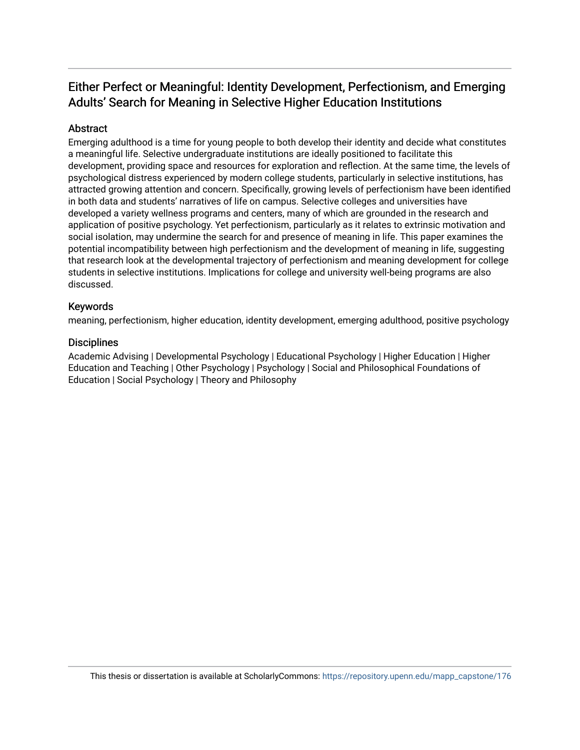## Either Perfect or Meaningful: Identity Development, Perfectionism, and Emerging Adults' Search for Meaning in Selective Higher Education Institutions

## Abstract

Emerging adulthood is a time for young people to both develop their identity and decide what constitutes a meaningful life. Selective undergraduate institutions are ideally positioned to facilitate this development, providing space and resources for exploration and reflection. At the same time, the levels of psychological distress experienced by modern college students, particularly in selective institutions, has attracted growing attention and concern. Specifically, growing levels of perfectionism have been identified in both data and students' narratives of life on campus. Selective colleges and universities have developed a variety wellness programs and centers, many of which are grounded in the research and application of positive psychology. Yet perfectionism, particularly as it relates to extrinsic motivation and social isolation, may undermine the search for and presence of meaning in life. This paper examines the potential incompatibility between high perfectionism and the development of meaning in life, suggesting that research look at the developmental trajectory of perfectionism and meaning development for college students in selective institutions. Implications for college and university well-being programs are also discussed.

## Keywords

meaning, perfectionism, higher education, identity development, emerging adulthood, positive psychology

## **Disciplines**

Academic Advising | Developmental Psychology | Educational Psychology | Higher Education | Higher Education and Teaching | Other Psychology | Psychology | Social and Philosophical Foundations of Education | Social Psychology | Theory and Philosophy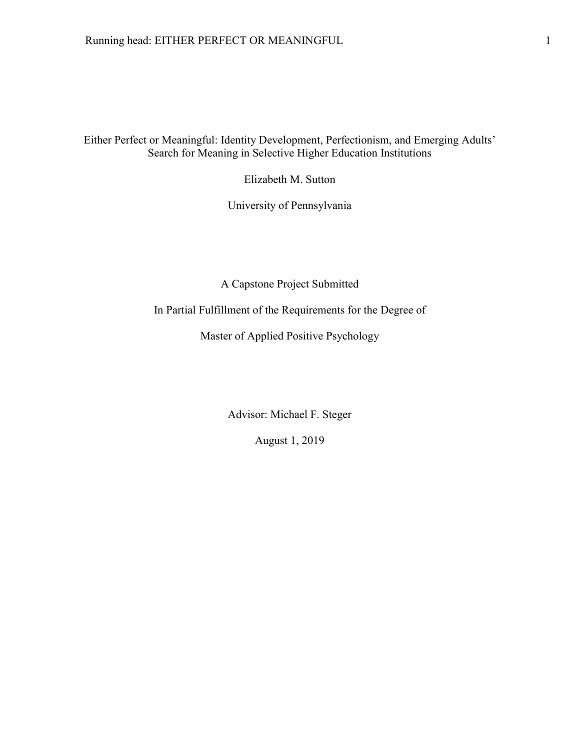Either Perfect or Meaningful: Identity Development, Perfectionism, and Emerging Adults' Search for Meaning in Selective Higher Education Institutions

Elizabeth M. Sutton

University of Pennsylvania

A Capstone Project Submitted

In Partial Fulfillment of the Requirements for the Degree of

Master of Applied Positive Psychology

Advisor: Michael F. Steger

August 1, 2019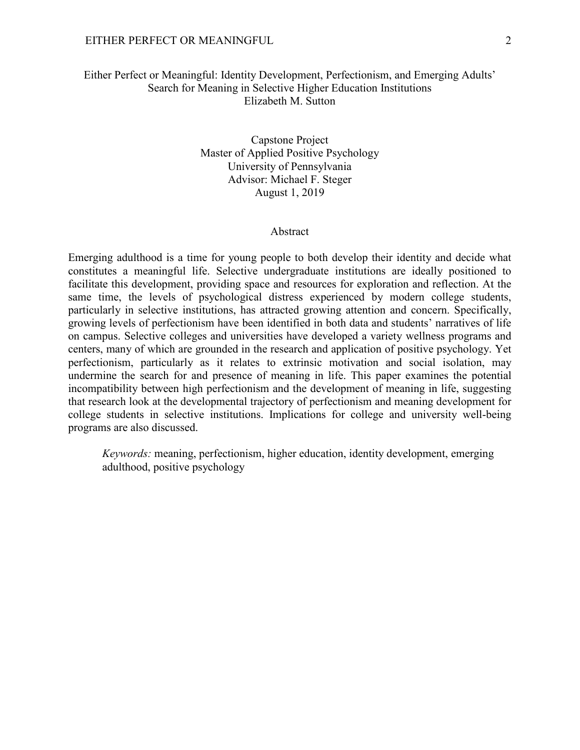## EITHER PERFECT OR MEANINGFUL 2

## Either Perfect or Meaningful: Identity Development, Perfectionism, and Emerging Adults' Search for Meaning in Selective Higher Education Institutions Elizabeth M. Sutton

Capstone Project Master of Applied Positive Psychology University of Pennsylvania Advisor: Michael F. Steger August 1, 2019

## Abstract

Emerging adulthood is a time for young people to both develop their identity and decide what constitutes a meaningful life. Selective undergraduate institutions are ideally positioned to facilitate this development, providing space and resources for exploration and reflection. At the same time, the levels of psychological distress experienced by modern college students, particularly in selective institutions, has attracted growing attention and concern. Specifically, growing levels of perfectionism have been identified in both data and students' narratives of life on campus. Selective colleges and universities have developed a variety wellness programs and centers, many of which are grounded in the research and application of positive psychology. Yet perfectionism, particularly as it relates to extrinsic motivation and social isolation, may undermine the search for and presence of meaning in life. This paper examines the potential incompatibility between high perfectionism and the development of meaning in life, suggesting that research look at the developmental trajectory of perfectionism and meaning development for college students in selective institutions. Implications for college and university well-being programs are also discussed.

*Keywords:* meaning, perfectionism, higher education, identity development, emerging adulthood, positive psychology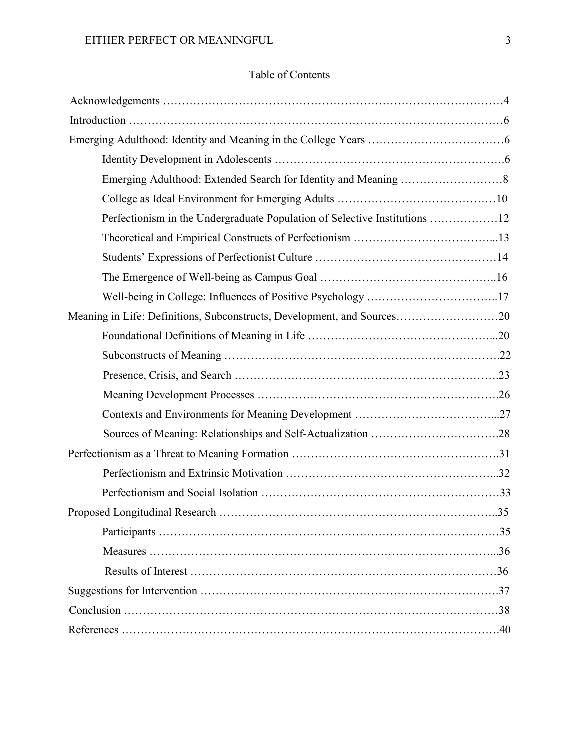## Table of Contents

| Perfectionism in the Undergraduate Population of Selective Institutions 12 |
|----------------------------------------------------------------------------|
|                                                                            |
|                                                                            |
|                                                                            |
| Well-being in College: Influences of Positive Psychology 17                |
| Meaning in Life: Definitions, Subconstructs, Development, and Sources20    |
|                                                                            |
|                                                                            |
|                                                                            |
|                                                                            |
|                                                                            |
|                                                                            |
|                                                                            |
|                                                                            |
|                                                                            |
|                                                                            |
|                                                                            |
|                                                                            |
|                                                                            |
|                                                                            |
|                                                                            |
|                                                                            |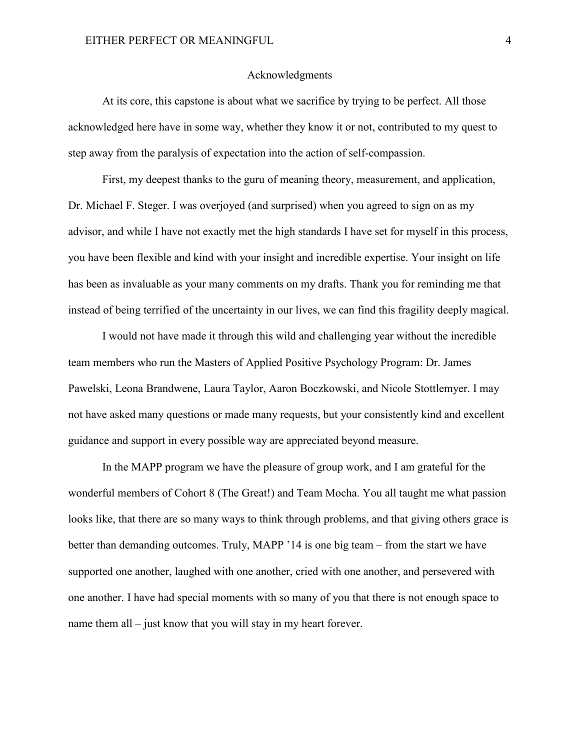## Acknowledgments

At its core, this capstone is about what we sacrifice by trying to be perfect. All those acknowledged here have in some way, whether they know it or not, contributed to my quest to step away from the paralysis of expectation into the action of self-compassion.

First, my deepest thanks to the guru of meaning theory, measurement, and application, Dr. Michael F. Steger. I was overjoyed (and surprised) when you agreed to sign on as my advisor, and while I have not exactly met the high standards I have set for myself in this process, you have been flexible and kind with your insight and incredible expertise. Your insight on life has been as invaluable as your many comments on my drafts. Thank you for reminding me that instead of being terrified of the uncertainty in our lives, we can find this fragility deeply magical.

I would not have made it through this wild and challenging year without the incredible team members who run the Masters of Applied Positive Psychology Program: Dr. James Pawelski, Leona Brandwene, Laura Taylor, Aaron Boczkowski, and Nicole Stottlemyer. I may not have asked many questions or made many requests, but your consistently kind and excellent guidance and support in every possible way are appreciated beyond measure.

In the MAPP program we have the pleasure of group work, and I am grateful for the wonderful members of Cohort 8 (The Great!) and Team Mocha. You all taught me what passion looks like, that there are so many ways to think through problems, and that giving others grace is better than demanding outcomes. Truly, MAPP '14 is one big team – from the start we have supported one another, laughed with one another, cried with one another, and persevered with one another. I have had special moments with so many of you that there is not enough space to name them all – just know that you will stay in my heart forever.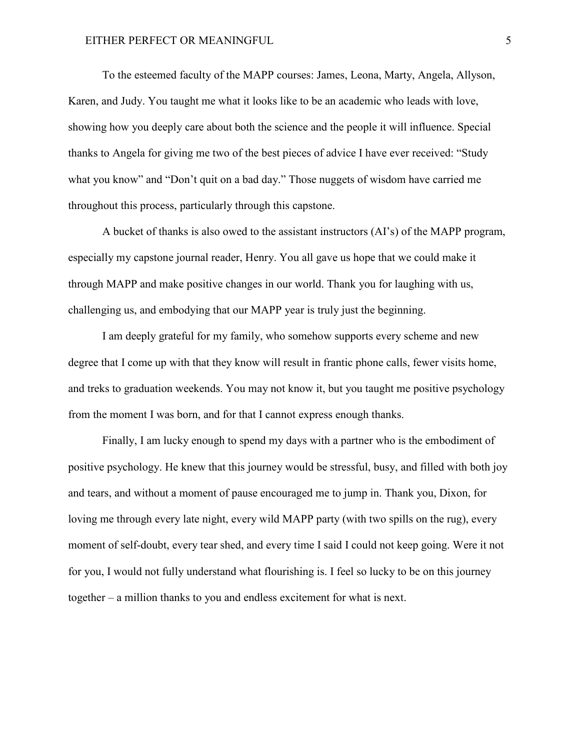## EITHER PERFECT OR MEANINGFUL **FILL** S

To the esteemed faculty of the MAPP courses: James, Leona, Marty, Angela, Allyson, Karen, and Judy. You taught me what it looks like to be an academic who leads with love, showing how you deeply care about both the science and the people it will influence. Special thanks to Angela for giving me two of the best pieces of advice I have ever received: "Study what you know" and "Don't quit on a bad day." Those nuggets of wisdom have carried me throughout this process, particularly through this capstone.

A bucket of thanks is also owed to the assistant instructors (AI's) of the MAPP program, especially my capstone journal reader, Henry. You all gave us hope that we could make it through MAPP and make positive changes in our world. Thank you for laughing with us, challenging us, and embodying that our MAPP year is truly just the beginning.

I am deeply grateful for my family, who somehow supports every scheme and new degree that I come up with that they know will result in frantic phone calls, fewer visits home, and treks to graduation weekends. You may not know it, but you taught me positive psychology from the moment I was born, and for that I cannot express enough thanks.

Finally, I am lucky enough to spend my days with a partner who is the embodiment of positive psychology. He knew that this journey would be stressful, busy, and filled with both joy and tears, and without a moment of pause encouraged me to jump in. Thank you, Dixon, for loving me through every late night, every wild MAPP party (with two spills on the rug), every moment of self-doubt, every tear shed, and every time I said I could not keep going. Were it not for you, I would not fully understand what flourishing is. I feel so lucky to be on this journey together – a million thanks to you and endless excitement for what is next.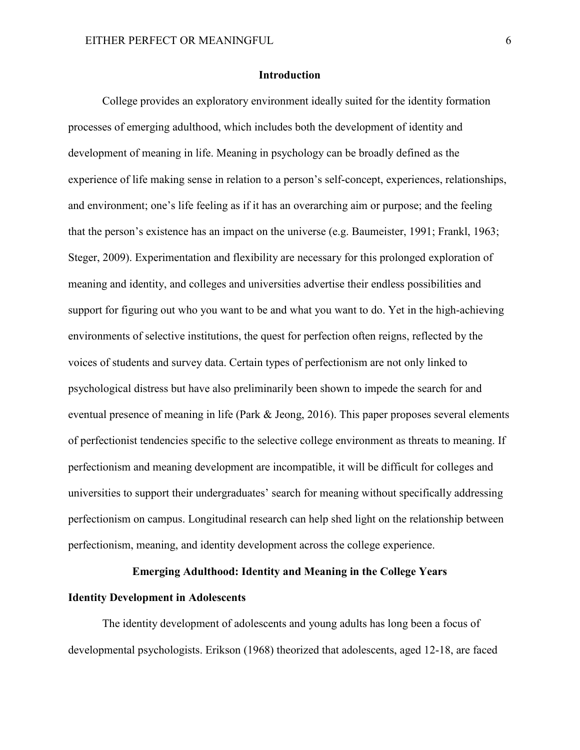## **Introduction**

College provides an exploratory environment ideally suited for the identity formation processes of emerging adulthood, which includes both the development of identity and development of meaning in life. Meaning in psychology can be broadly defined as the experience of life making sense in relation to a person's self-concept, experiences, relationships, and environment; one's life feeling as if it has an overarching aim or purpose; and the feeling that the person's existence has an impact on the universe (e.g. Baumeister, 1991; Frankl, 1963; Steger, 2009). Experimentation and flexibility are necessary for this prolonged exploration of meaning and identity, and colleges and universities advertise their endless possibilities and support for figuring out who you want to be and what you want to do. Yet in the high-achieving environments of selective institutions, the quest for perfection often reigns, reflected by the voices of students and survey data. Certain types of perfectionism are not only linked to psychological distress but have also preliminarily been shown to impede the search for and eventual presence of meaning in life (Park & Jeong, 2016). This paper proposes several elements of perfectionist tendencies specific to the selective college environment as threats to meaning. If perfectionism and meaning development are incompatible, it will be difficult for colleges and universities to support their undergraduates' search for meaning without specifically addressing perfectionism on campus. Longitudinal research can help shed light on the relationship between perfectionism, meaning, and identity development across the college experience.

## **Emerging Adulthood: Identity and Meaning in the College Years**

## **Identity Development in Adolescents**

The identity development of adolescents and young adults has long been a focus of developmental psychologists. Erikson (1968) theorized that adolescents, aged 12-18, are faced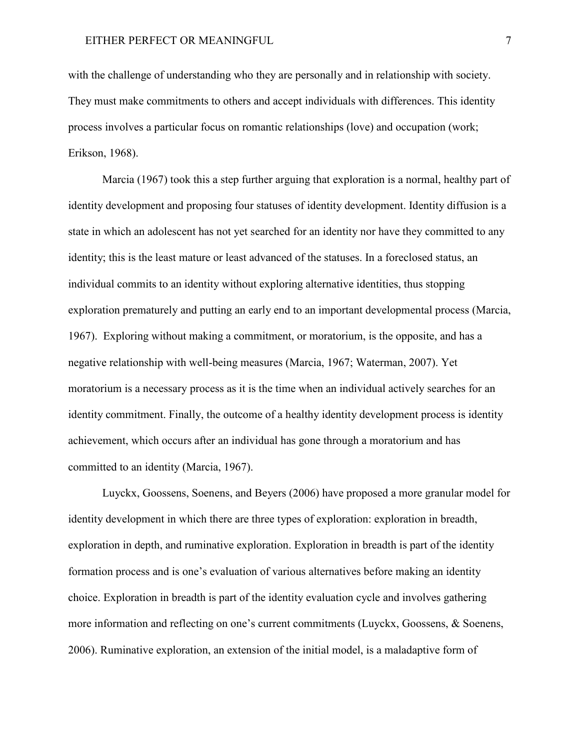with the challenge of understanding who they are personally and in relationship with society. They must make commitments to others and accept individuals with differences. This identity process involves a particular focus on romantic relationships (love) and occupation (work; Erikson, 1968).

Marcia (1967) took this a step further arguing that exploration is a normal, healthy part of identity development and proposing four statuses of identity development. Identity diffusion is a state in which an adolescent has not yet searched for an identity nor have they committed to any identity; this is the least mature or least advanced of the statuses. In a foreclosed status, an individual commits to an identity without exploring alternative identities, thus stopping exploration prematurely and putting an early end to an important developmental process (Marcia, 1967). Exploring without making a commitment, or moratorium, is the opposite, and has a negative relationship with well-being measures (Marcia, 1967; Waterman, 2007). Yet moratorium is a necessary process as it is the time when an individual actively searches for an identity commitment. Finally, the outcome of a healthy identity development process is identity achievement, which occurs after an individual has gone through a moratorium and has committed to an identity (Marcia, 1967).

Luyckx, Goossens, Soenens, and Beyers (2006) have proposed a more granular model for identity development in which there are three types of exploration: exploration in breadth, exploration in depth, and ruminative exploration. Exploration in breadth is part of the identity formation process and is one's evaluation of various alternatives before making an identity choice. Exploration in breadth is part of the identity evaluation cycle and involves gathering more information and reflecting on one's current commitments (Luyckx, Goossens, & Soenens, 2006). Ruminative exploration, an extension of the initial model, is a maladaptive form of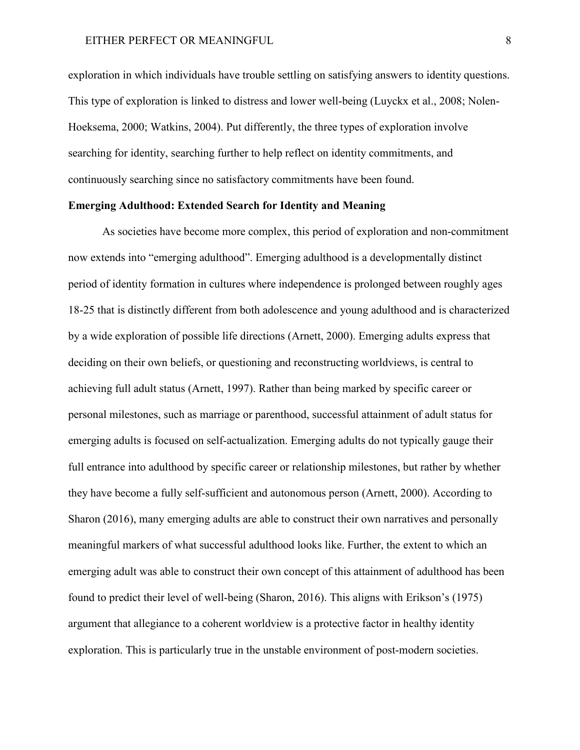exploration in which individuals have trouble settling on satisfying answers to identity questions. This type of exploration is linked to distress and lower well-being (Luyckx et al., 2008; Nolen-Hoeksema, 2000; Watkins, 2004). Put differently, the three types of exploration involve searching for identity, searching further to help reflect on identity commitments, and continuously searching since no satisfactory commitments have been found.

## **Emerging Adulthood: Extended Search for Identity and Meaning**

As societies have become more complex, this period of exploration and non-commitment now extends into "emerging adulthood". Emerging adulthood is a developmentally distinct period of identity formation in cultures where independence is prolonged between roughly ages 18-25 that is distinctly different from both adolescence and young adulthood and is characterized by a wide exploration of possible life directions (Arnett, 2000). Emerging adults express that deciding on their own beliefs, or questioning and reconstructing worldviews, is central to achieving full adult status (Arnett, 1997). Rather than being marked by specific career or personal milestones, such as marriage or parenthood, successful attainment of adult status for emerging adults is focused on self-actualization. Emerging adults do not typically gauge their full entrance into adulthood by specific career or relationship milestones, but rather by whether they have become a fully self-sufficient and autonomous person (Arnett, 2000). According to Sharon (2016), many emerging adults are able to construct their own narratives and personally meaningful markers of what successful adulthood looks like. Further, the extent to which an emerging adult was able to construct their own concept of this attainment of adulthood has been found to predict their level of well-being (Sharon, 2016). This aligns with Erikson's (1975) argument that allegiance to a coherent worldview is a protective factor in healthy identity exploration. This is particularly true in the unstable environment of post-modern societies.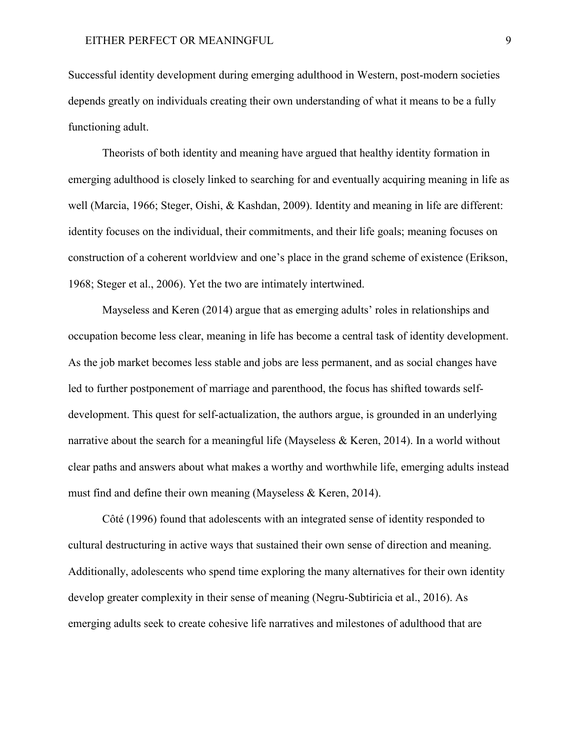Successful identity development during emerging adulthood in Western, post-modern societies depends greatly on individuals creating their own understanding of what it means to be a fully functioning adult.

Theorists of both identity and meaning have argued that healthy identity formation in emerging adulthood is closely linked to searching for and eventually acquiring meaning in life as well (Marcia, 1966; Steger, Oishi, & Kashdan, 2009). Identity and meaning in life are different: identity focuses on the individual, their commitments, and their life goals; meaning focuses on construction of a coherent worldview and one's place in the grand scheme of existence (Erikson, 1968; Steger et al., 2006). Yet the two are intimately intertwined.

Mayseless and Keren (2014) argue that as emerging adults' roles in relationships and occupation become less clear, meaning in life has become a central task of identity development. As the job market becomes less stable and jobs are less permanent, and as social changes have led to further postponement of marriage and parenthood, the focus has shifted towards selfdevelopment. This quest for self-actualization, the authors argue, is grounded in an underlying narrative about the search for a meaningful life (Mayseless & Keren, 2014). In a world without clear paths and answers about what makes a worthy and worthwhile life, emerging adults instead must find and define their own meaning (Mayseless & Keren, 2014).

Côté (1996) found that adolescents with an integrated sense of identity responded to cultural destructuring in active ways that sustained their own sense of direction and meaning. Additionally, adolescents who spend time exploring the many alternatives for their own identity develop greater complexity in their sense of meaning (Negru-Subtiricia et al., 2016). As emerging adults seek to create cohesive life narratives and milestones of adulthood that are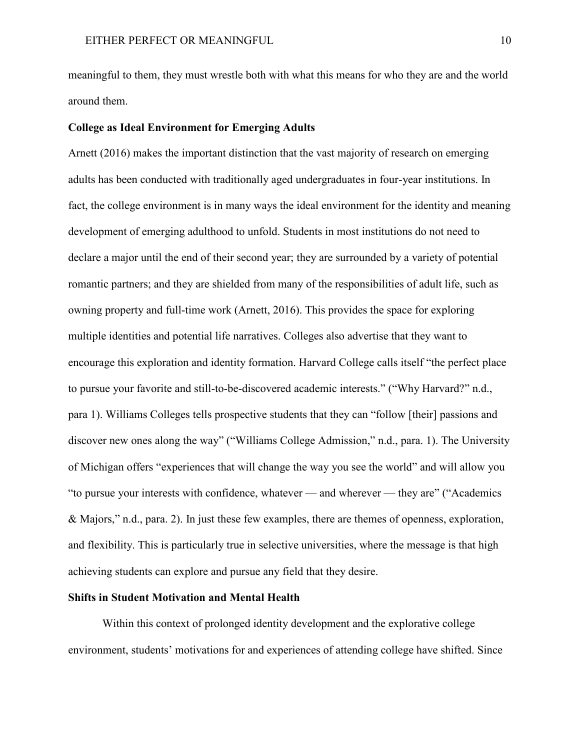meaningful to them, they must wrestle both with what this means for who they are and the world around them.

## **College as Ideal Environment for Emerging Adults**

Arnett (2016) makes the important distinction that the vast majority of research on emerging adults has been conducted with traditionally aged undergraduates in four-year institutions. In fact, the college environment is in many ways the ideal environment for the identity and meaning development of emerging adulthood to unfold. Students in most institutions do not need to declare a major until the end of their second year; they are surrounded by a variety of potential romantic partners; and they are shielded from many of the responsibilities of adult life, such as owning property and full-time work (Arnett, 2016). This provides the space for exploring multiple identities and potential life narratives. Colleges also advertise that they want to encourage this exploration and identity formation. Harvard College calls itself "the perfect place to pursue your favorite and still-to-be-discovered academic interests." ("Why Harvard?" n.d., para 1). Williams Colleges tells prospective students that they can "follow [their] passions and discover new ones along the way" ("Williams College Admission," n.d., para. 1). The University of Michigan offers "experiences that will change the way you see the world" and will allow you "to pursue your interests with confidence, whatever — and wherever — they are" ("Academics & Majors," n.d., para. 2). In just these few examples, there are themes of openness, exploration, and flexibility. This is particularly true in selective universities, where the message is that high achieving students can explore and pursue any field that they desire.

#### **Shifts in Student Motivation and Mental Health**

Within this context of prolonged identity development and the explorative college environment, students' motivations for and experiences of attending college have shifted. Since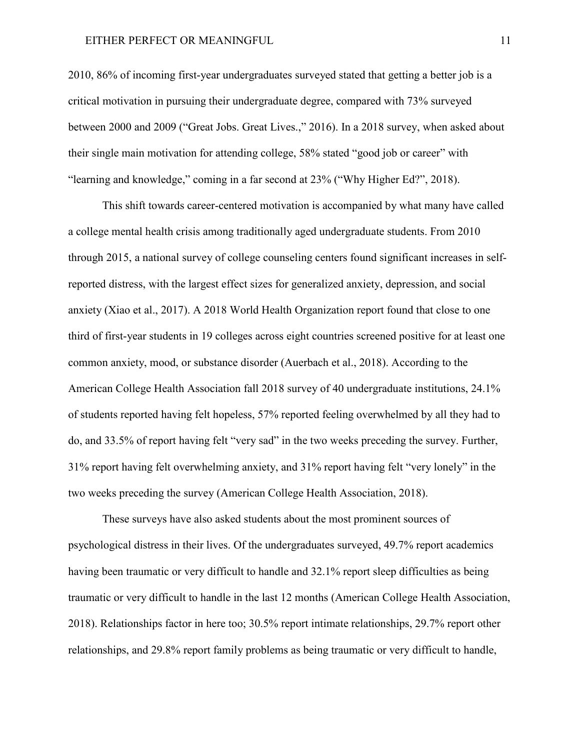## EITHER PERFECT OR MEANINGFUL 11

2010, 86% of incoming first-year undergraduates surveyed stated that getting a better job is a critical motivation in pursuing their undergraduate degree, compared with 73% surveyed between 2000 and 2009 ("Great Jobs. Great Lives.," 2016). In a 2018 survey, when asked about their single main motivation for attending college, 58% stated "good job or career" with "learning and knowledge," coming in a far second at 23% ("Why Higher Ed?", 2018).

This shift towards career-centered motivation is accompanied by what many have called a college mental health crisis among traditionally aged undergraduate students. From 2010 through 2015, a national survey of college counseling centers found significant increases in selfreported distress, with the largest effect sizes for generalized anxiety, depression, and social anxiety (Xiao et al., 2017). A 2018 World Health Organization report found that close to one third of first-year students in 19 colleges across eight countries screened positive for at least one common anxiety, mood, or substance disorder (Auerbach et al., 2018). According to the American College Health Association fall 2018 survey of 40 undergraduate institutions, 24.1% of students reported having felt hopeless, 57% reported feeling overwhelmed by all they had to do, and 33.5% of report having felt "very sad" in the two weeks preceding the survey. Further, 31% report having felt overwhelming anxiety, and 31% report having felt "very lonely" in the two weeks preceding the survey (American College Health Association, 2018).

These surveys have also asked students about the most prominent sources of psychological distress in their lives. Of the undergraduates surveyed, 49.7% report academics having been traumatic or very difficult to handle and 32.1% report sleep difficulties as being traumatic or very difficult to handle in the last 12 months (American College Health Association, 2018). Relationships factor in here too; 30.5% report intimate relationships, 29.7% report other relationships, and 29.8% report family problems as being traumatic or very difficult to handle,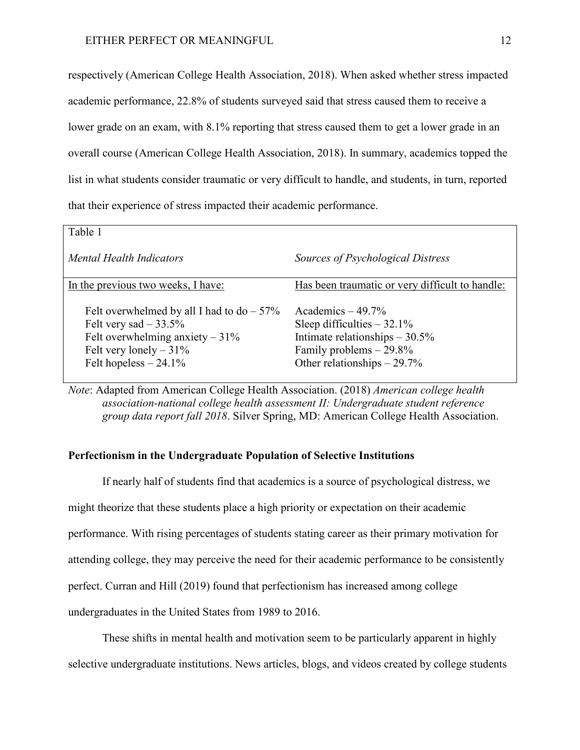respectively (American College Health Association, 2018). When asked whether stress impacted academic performance, 22.8% of students surveyed said that stress caused them to receive a lower grade on an exam, with 8.1% reporting that stress caused them to get a lower grade in an overall course (American College Health Association, 2018). In summary, academics topped the list in what students consider traumatic or very difficult to handle, and students, in turn, reported that their experience of stress impacted their academic performance.

| Table 1                                                                                                                                                             |                                                                                                                                                       |
|---------------------------------------------------------------------------------------------------------------------------------------------------------------------|-------------------------------------------------------------------------------------------------------------------------------------------------------|
| <b>Mental Health Indicators</b>                                                                                                                                     | Sources of Psychological Distress                                                                                                                     |
| In the previous two weeks, I have:                                                                                                                                  | Has been traumatic or very difficult to handle:                                                                                                       |
| Felt overwhelmed by all I had to $do - 57\%$<br>Felt very sad $-33.5\%$<br>Felt overwhelming anxiety $-31\%$<br>Felt very lonely $-31\%$<br>Felt hopeless $-24.1\%$ | Academics $-49.7\%$<br>Sleep difficulties $-32.1\%$<br>Intimate relationships $-30.5\%$<br>Family problems $-29.8\%$<br>Other relationships $-29.7\%$ |

*Note*: Adapted from American College Health Association. (2018) *American college health association-national college health assessment II: Undergraduate student reference group data report fall 2018*. Silver Spring, MD: American College Health Association.

## **Perfectionism in the Undergraduate Population of Selective Institutions**

If nearly half of students find that academics is a source of psychological distress, we might theorize that these students place a high priority or expectation on their academic performance. With rising percentages of students stating career as their primary motivation for attending college, they may perceive the need for their academic performance to be consistently perfect. Curran and Hill (2019) found that perfectionism has increased among college undergraduates in the United States from 1989 to 2016.

These shifts in mental health and motivation seem to be particularly apparent in highly selective undergraduate institutions. News articles, blogs, and videos created by college students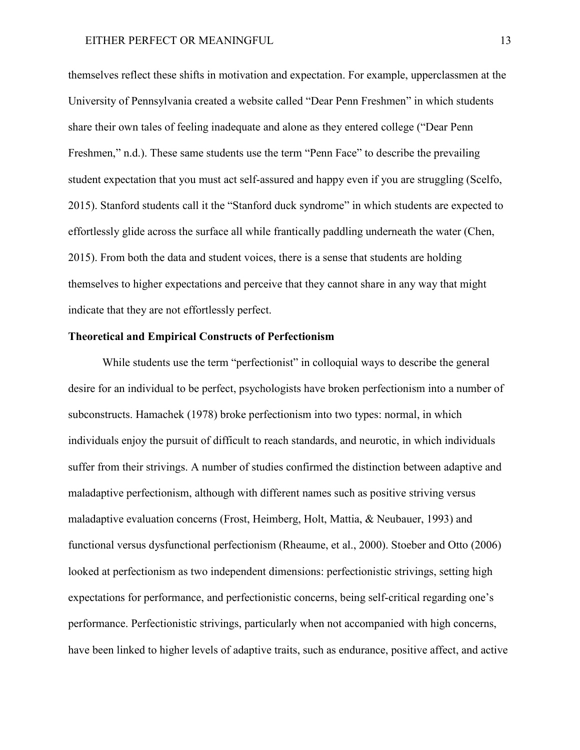themselves reflect these shifts in motivation and expectation. For example, upperclassmen at the University of Pennsylvania created a website called "Dear Penn Freshmen" in which students share their own tales of feeling inadequate and alone as they entered college ("Dear Penn Freshmen," n.d.). These same students use the term "Penn Face" to describe the prevailing student expectation that you must act self-assured and happy even if you are struggling (Scelfo, 2015). Stanford students call it the "Stanford duck syndrome" in which students are expected to effortlessly glide across the surface all while frantically paddling underneath the water (Chen, 2015). From both the data and student voices, there is a sense that students are holding themselves to higher expectations and perceive that they cannot share in any way that might indicate that they are not effortlessly perfect.

## **Theoretical and Empirical Constructs of Perfectionism**

While students use the term "perfectionist" in colloquial ways to describe the general desire for an individual to be perfect, psychologists have broken perfectionism into a number of subconstructs. Hamachek (1978) broke perfectionism into two types: normal, in which individuals enjoy the pursuit of difficult to reach standards, and neurotic, in which individuals suffer from their strivings. A number of studies confirmed the distinction between adaptive and maladaptive perfectionism, although with different names such as positive striving versus maladaptive evaluation concerns (Frost, Heimberg, Holt, Mattia, & Neubauer, 1993) and functional versus dysfunctional perfectionism (Rheaume, et al., 2000). Stoeber and Otto (2006) looked at perfectionism as two independent dimensions: perfectionistic strivings, setting high expectations for performance, and perfectionistic concerns, being self-critical regarding one's performance. Perfectionistic strivings, particularly when not accompanied with high concerns, have been linked to higher levels of adaptive traits, such as endurance, positive affect, and active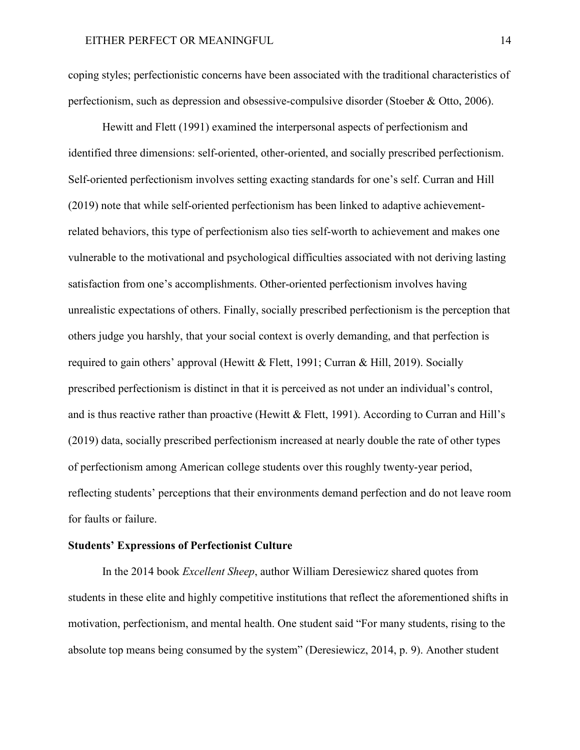coping styles; perfectionistic concerns have been associated with the traditional characteristics of perfectionism, such as depression and obsessive-compulsive disorder (Stoeber & Otto, 2006).

Hewitt and Flett (1991) examined the interpersonal aspects of perfectionism and identified three dimensions: self-oriented, other-oriented, and socially prescribed perfectionism. Self-oriented perfectionism involves setting exacting standards for one's self. Curran and Hill (2019) note that while self-oriented perfectionism has been linked to adaptive achievementrelated behaviors, this type of perfectionism also ties self-worth to achievement and makes one vulnerable to the motivational and psychological difficulties associated with not deriving lasting satisfaction from one's accomplishments. Other-oriented perfectionism involves having unrealistic expectations of others. Finally, socially prescribed perfectionism is the perception that others judge you harshly, that your social context is overly demanding, and that perfection is required to gain others' approval (Hewitt & Flett, 1991; Curran & Hill, 2019). Socially prescribed perfectionism is distinct in that it is perceived as not under an individual's control, and is thus reactive rather than proactive (Hewitt & Flett, 1991). According to Curran and Hill's (2019) data, socially prescribed perfectionism increased at nearly double the rate of other types of perfectionism among American college students over this roughly twenty-year period, reflecting students' perceptions that their environments demand perfection and do not leave room for faults or failure.

## **Students' Expressions of Perfectionist Culture**

In the 2014 book *Excellent Sheep*, author William Deresiewicz shared quotes from students in these elite and highly competitive institutions that reflect the aforementioned shifts in motivation, perfectionism, and mental health. One student said "For many students, rising to the absolute top means being consumed by the system" (Deresiewicz, 2014, p. 9). Another student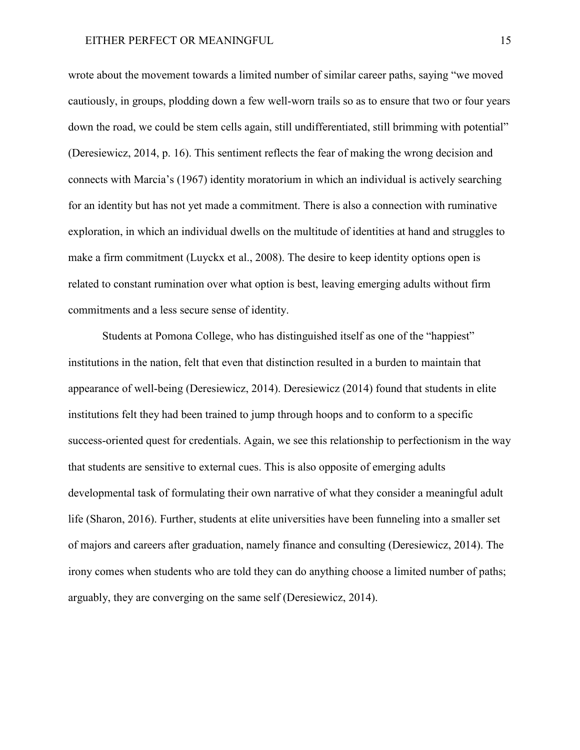wrote about the movement towards a limited number of similar career paths, saying "we moved cautiously, in groups, plodding down a few well-worn trails so as to ensure that two or four years down the road, we could be stem cells again, still undifferentiated, still brimming with potential" (Deresiewicz, 2014, p. 16). This sentiment reflects the fear of making the wrong decision and connects with Marcia's (1967) identity moratorium in which an individual is actively searching for an identity but has not yet made a commitment. There is also a connection with ruminative exploration, in which an individual dwells on the multitude of identities at hand and struggles to make a firm commitment (Luyckx et al., 2008). The desire to keep identity options open is related to constant rumination over what option is best, leaving emerging adults without firm commitments and a less secure sense of identity.

Students at Pomona College, who has distinguished itself as one of the "happiest" institutions in the nation, felt that even that distinction resulted in a burden to maintain that appearance of well-being (Deresiewicz, 2014). Deresiewicz (2014) found that students in elite institutions felt they had been trained to jump through hoops and to conform to a specific success-oriented quest for credentials. Again, we see this relationship to perfectionism in the way that students are sensitive to external cues. This is also opposite of emerging adults developmental task of formulating their own narrative of what they consider a meaningful adult life (Sharon, 2016). Further, students at elite universities have been funneling into a smaller set of majors and careers after graduation, namely finance and consulting (Deresiewicz, 2014). The irony comes when students who are told they can do anything choose a limited number of paths; arguably, they are converging on the same self (Deresiewicz, 2014).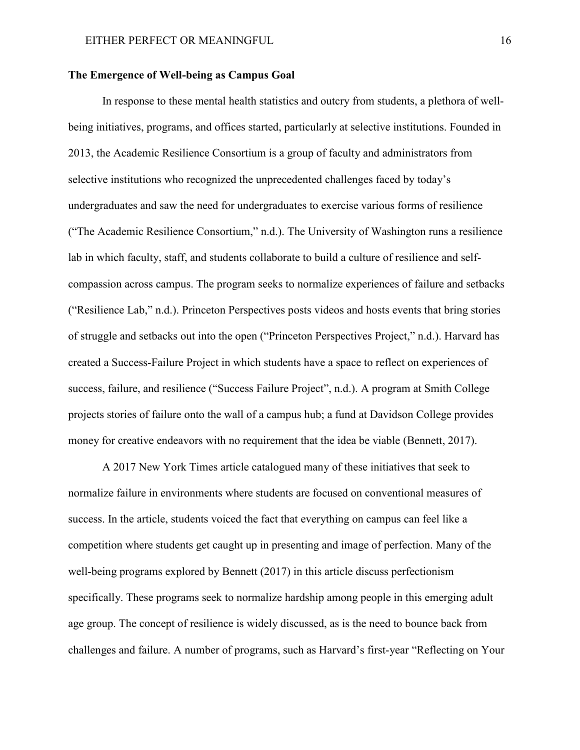## **The Emergence of Well-being as Campus Goal**

In response to these mental health statistics and outcry from students, a plethora of wellbeing initiatives, programs, and offices started, particularly at selective institutions. Founded in 2013, the Academic Resilience Consortium is a group of faculty and administrators from selective institutions who recognized the unprecedented challenges faced by today's undergraduates and saw the need for undergraduates to exercise various forms of resilience ("The Academic Resilience Consortium," n.d.). The University of Washington runs a resilience lab in which faculty, staff, and students collaborate to build a culture of resilience and selfcompassion across campus. The program seeks to normalize experiences of failure and setbacks ("Resilience Lab," n.d.). Princeton Perspectives posts videos and hosts events that bring stories of struggle and setbacks out into the open ("Princeton Perspectives Project," n.d.). Harvard has created a Success-Failure Project in which students have a space to reflect on experiences of success, failure, and resilience ("Success Failure Project", n.d.). A program at Smith College projects stories of failure onto the wall of a campus hub; a fund at Davidson College provides money for creative endeavors with no requirement that the idea be viable (Bennett, 2017).

A 2017 New York Times article catalogued many of these initiatives that seek to normalize failure in environments where students are focused on conventional measures of success. In the article, students voiced the fact that everything on campus can feel like a competition where students get caught up in presenting and image of perfection. Many of the well-being programs explored by Bennett (2017) in this article discuss perfectionism specifically. These programs seek to normalize hardship among people in this emerging adult age group. The concept of resilience is widely discussed, as is the need to bounce back from challenges and failure. A number of programs, such as Harvard's first-year "Reflecting on Your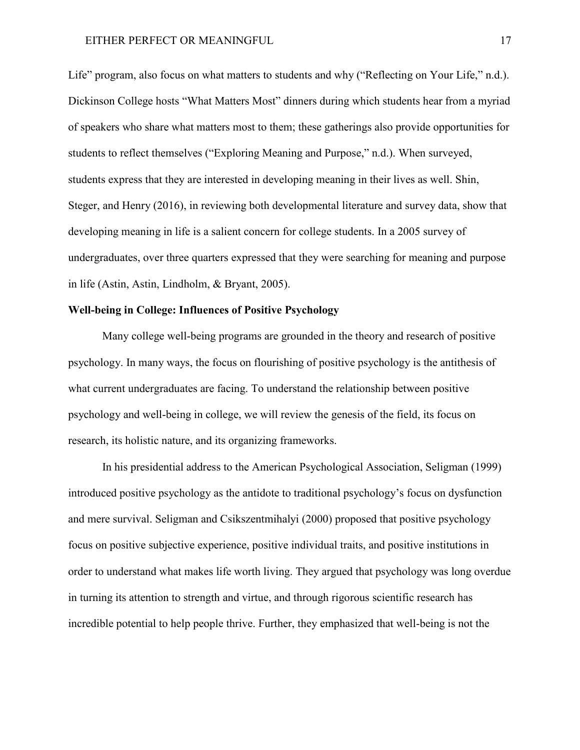Life" program, also focus on what matters to students and why ("Reflecting on Your Life," n.d.). Dickinson College hosts "What Matters Most" dinners during which students hear from a myriad of speakers who share what matters most to them; these gatherings also provide opportunities for students to reflect themselves ("Exploring Meaning and Purpose," n.d.). When surveyed, students express that they are interested in developing meaning in their lives as well. Shin, Steger, and Henry (2016), in reviewing both developmental literature and survey data, show that developing meaning in life is a salient concern for college students. In a 2005 survey of undergraduates, over three quarters expressed that they were searching for meaning and purpose in life (Astin, Astin, Lindholm, & Bryant, 2005).

## **Well-being in College: Influences of Positive Psychology**

Many college well-being programs are grounded in the theory and research of positive psychology. In many ways, the focus on flourishing of positive psychology is the antithesis of what current undergraduates are facing. To understand the relationship between positive psychology and well-being in college, we will review the genesis of the field, its focus on research, its holistic nature, and its organizing frameworks.

In his presidential address to the American Psychological Association, Seligman (1999) introduced positive psychology as the antidote to traditional psychology's focus on dysfunction and mere survival. Seligman and Csikszentmihalyi (2000) proposed that positive psychology focus on positive subjective experience, positive individual traits, and positive institutions in order to understand what makes life worth living. They argued that psychology was long overdue in turning its attention to strength and virtue, and through rigorous scientific research has incredible potential to help people thrive. Further, they emphasized that well-being is not the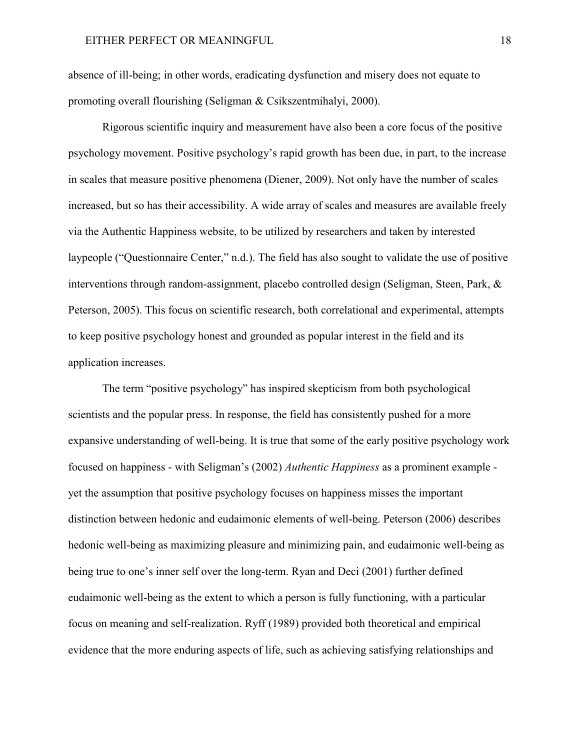absence of ill-being; in other words, eradicating dysfunction and misery does not equate to promoting overall flourishing (Seligman & Csikszentmihalyi, 2000).

Rigorous scientific inquiry and measurement have also been a core focus of the positive psychology movement. Positive psychology's rapid growth has been due, in part, to the increase in scales that measure positive phenomena (Diener, 2009). Not only have the number of scales increased, but so has their accessibility. A wide array of scales and measures are available freely via the Authentic Happiness website, to be utilized by researchers and taken by interested laypeople ("Questionnaire Center," n.d.). The field has also sought to validate the use of positive interventions through random-assignment, placebo controlled design (Seligman, Steen, Park, & Peterson, 2005). This focus on scientific research, both correlational and experimental, attempts to keep positive psychology honest and grounded as popular interest in the field and its application increases.

The term "positive psychology" has inspired skepticism from both psychological scientists and the popular press. In response, the field has consistently pushed for a more expansive understanding of well-being. It is true that some of the early positive psychology work focused on happiness - with Seligman's (2002) *Authentic Happiness* as a prominent example yet the assumption that positive psychology focuses on happiness misses the important distinction between hedonic and eudaimonic elements of well-being. Peterson (2006) describes hedonic well-being as maximizing pleasure and minimizing pain, and eudaimonic well-being as being true to one's inner self over the long-term. Ryan and Deci (2001) further defined eudaimonic well-being as the extent to which a person is fully functioning, with a particular focus on meaning and self-realization. Ryff (1989) provided both theoretical and empirical evidence that the more enduring aspects of life, such as achieving satisfying relationships and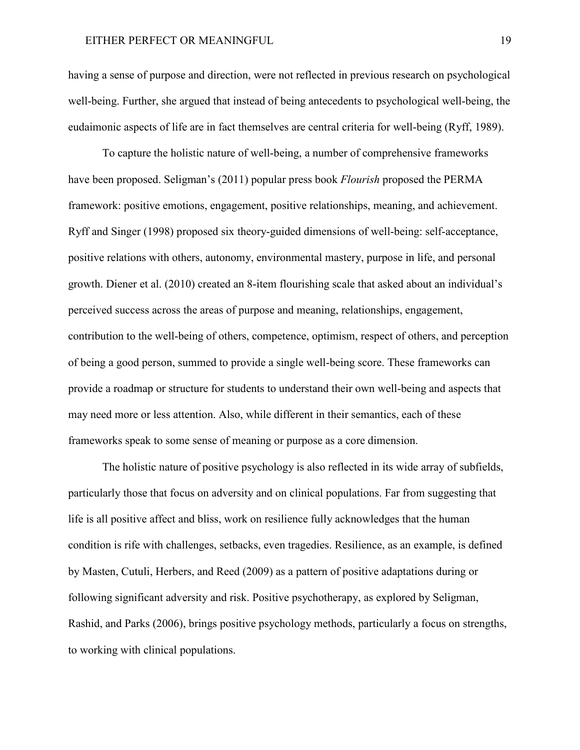having a sense of purpose and direction, were not reflected in previous research on psychological well-being. Further, she argued that instead of being antecedents to psychological well-being, the eudaimonic aspects of life are in fact themselves are central criteria for well-being (Ryff, 1989).

To capture the holistic nature of well-being, a number of comprehensive frameworks have been proposed. Seligman's (2011) popular press book *Flourish* proposed the PERMA framework: positive emotions, engagement, positive relationships, meaning, and achievement. Ryff and Singer (1998) proposed six theory-guided dimensions of well-being: self-acceptance, positive relations with others, autonomy, environmental mastery, purpose in life, and personal growth. Diener et al. (2010) created an 8-item flourishing scale that asked about an individual's perceived success across the areas of purpose and meaning, relationships, engagement, contribution to the well-being of others, competence, optimism, respect of others, and perception of being a good person, summed to provide a single well-being score. These frameworks can provide a roadmap or structure for students to understand their own well-being and aspects that may need more or less attention. Also, while different in their semantics, each of these frameworks speak to some sense of meaning or purpose as a core dimension.

The holistic nature of positive psychology is also reflected in its wide array of subfields, particularly those that focus on adversity and on clinical populations. Far from suggesting that life is all positive affect and bliss, work on resilience fully acknowledges that the human condition is rife with challenges, setbacks, even tragedies. Resilience, as an example, is defined by Masten, Cutuli, Herbers, and Reed (2009) as a pattern of positive adaptations during or following significant adversity and risk. Positive psychotherapy, as explored by Seligman, Rashid, and Parks (2006), brings positive psychology methods, particularly a focus on strengths, to working with clinical populations.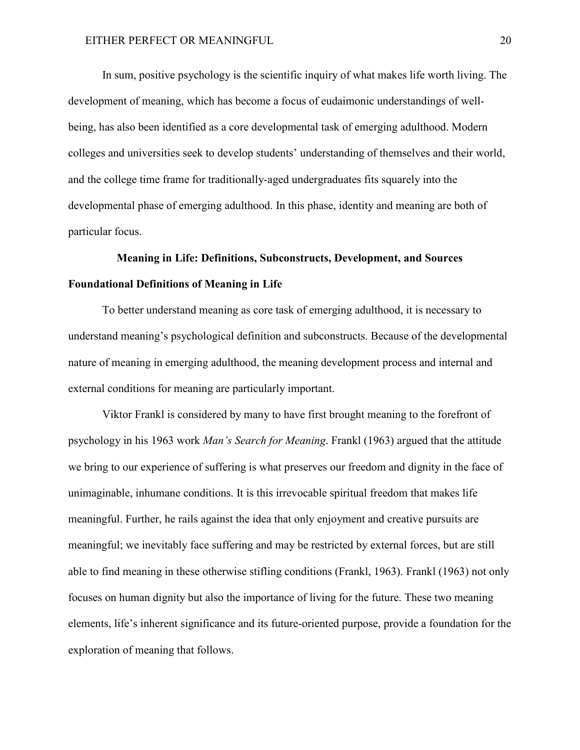In sum, positive psychology is the scientific inquiry of what makes life worth living. The development of meaning, which has become a focus of eudaimonic understandings of wellbeing, has also been identified as a core developmental task of emerging adulthood. Modern colleges and universities seek to develop students' understanding of themselves and their world, and the college time frame for traditionally-aged undergraduates fits squarely into the developmental phase of emerging adulthood. In this phase, identity and meaning are both of particular focus.

# **Meaning in Life: Definitions, Subconstructs, Development, and Sources Foundational Definitions of Meaning in Life**

To better understand meaning as core task of emerging adulthood, it is necessary to understand meaning's psychological definition and subconstructs. Because of the developmental nature of meaning in emerging adulthood, the meaning development process and internal and external conditions for meaning are particularly important.

Viktor Frankl is considered by many to have first brought meaning to the forefront of psychology in his 1963 work *Man's Search for Meaning*. Frankl (1963) argued that the attitude we bring to our experience of suffering is what preserves our freedom and dignity in the face of unimaginable, inhumane conditions. It is this irrevocable spiritual freedom that makes life meaningful. Further, he rails against the idea that only enjoyment and creative pursuits are meaningful; we inevitably face suffering and may be restricted by external forces, but are still able to find meaning in these otherwise stifling conditions (Frankl, 1963). Frankl (1963) not only focuses on human dignity but also the importance of living for the future. These two meaning elements, life's inherent significance and its future-oriented purpose, provide a foundation for the exploration of meaning that follows.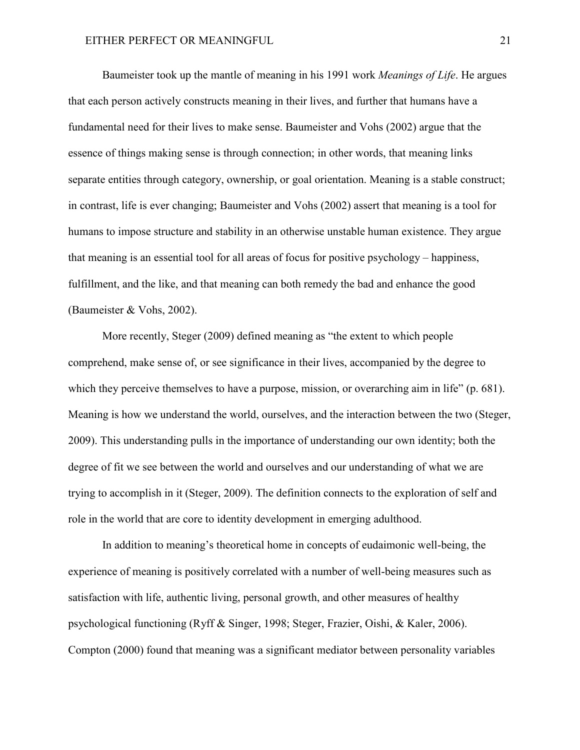Baumeister took up the mantle of meaning in his 1991 work *Meanings of Life*. He argues that each person actively constructs meaning in their lives, and further that humans have a fundamental need for their lives to make sense. Baumeister and Vohs (2002) argue that the essence of things making sense is through connection; in other words, that meaning links separate entities through category, ownership, or goal orientation. Meaning is a stable construct; in contrast, life is ever changing; Baumeister and Vohs (2002) assert that meaning is a tool for humans to impose structure and stability in an otherwise unstable human existence. They argue that meaning is an essential tool for all areas of focus for positive psychology – happiness, fulfillment, and the like, and that meaning can both remedy the bad and enhance the good (Baumeister & Vohs, 2002).

More recently, Steger (2009) defined meaning as "the extent to which people comprehend, make sense of, or see significance in their lives, accompanied by the degree to which they perceive themselves to have a purpose, mission, or overarching aim in life" (p. 681). Meaning is how we understand the world, ourselves, and the interaction between the two (Steger, 2009). This understanding pulls in the importance of understanding our own identity; both the degree of fit we see between the world and ourselves and our understanding of what we are trying to accomplish in it (Steger, 2009). The definition connects to the exploration of self and role in the world that are core to identity development in emerging adulthood.

In addition to meaning's theoretical home in concepts of eudaimonic well-being, the experience of meaning is positively correlated with a number of well-being measures such as satisfaction with life, authentic living, personal growth, and other measures of healthy psychological functioning (Ryff & Singer, 1998; Steger, Frazier, Oishi, & Kaler, 2006). Compton (2000) found that meaning was a significant mediator between personality variables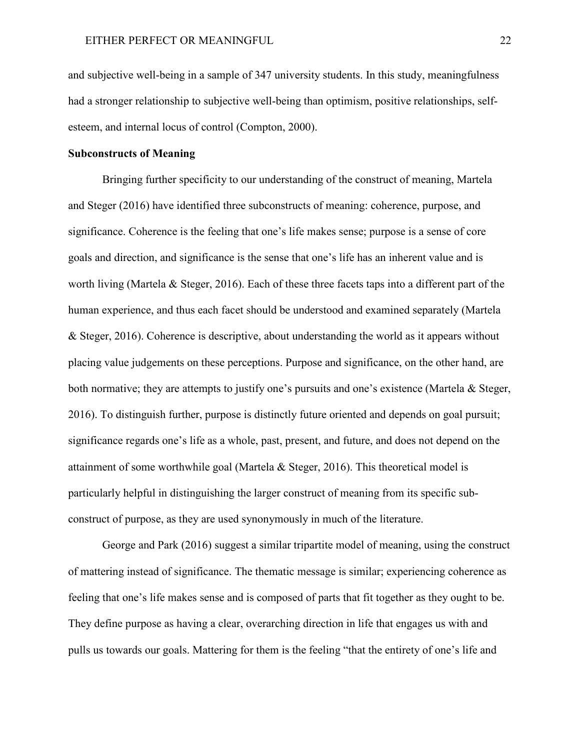and subjective well-being in a sample of 347 university students. In this study, meaningfulness had a stronger relationship to subjective well-being than optimism, positive relationships, selfesteem, and internal locus of control (Compton, 2000).

## **Subconstructs of Meaning**

Bringing further specificity to our understanding of the construct of meaning, Martela and Steger (2016) have identified three subconstructs of meaning: coherence, purpose, and significance. Coherence is the feeling that one's life makes sense; purpose is a sense of core goals and direction, and significance is the sense that one's life has an inherent value and is worth living (Martela & Steger, 2016). Each of these three facets taps into a different part of the human experience, and thus each facet should be understood and examined separately (Martela & Steger, 2016). Coherence is descriptive, about understanding the world as it appears without placing value judgements on these perceptions. Purpose and significance, on the other hand, are both normative; they are attempts to justify one's pursuits and one's existence (Martela & Steger, 2016). To distinguish further, purpose is distinctly future oriented and depends on goal pursuit; significance regards one's life as a whole, past, present, and future, and does not depend on the attainment of some worthwhile goal (Martela & Steger, 2016). This theoretical model is particularly helpful in distinguishing the larger construct of meaning from its specific subconstruct of purpose, as they are used synonymously in much of the literature.

George and Park (2016) suggest a similar tripartite model of meaning, using the construct of mattering instead of significance. The thematic message is similar; experiencing coherence as feeling that one's life makes sense and is composed of parts that fit together as they ought to be. They define purpose as having a clear, overarching direction in life that engages us with and pulls us towards our goals. Mattering for them is the feeling "that the entirety of one's life and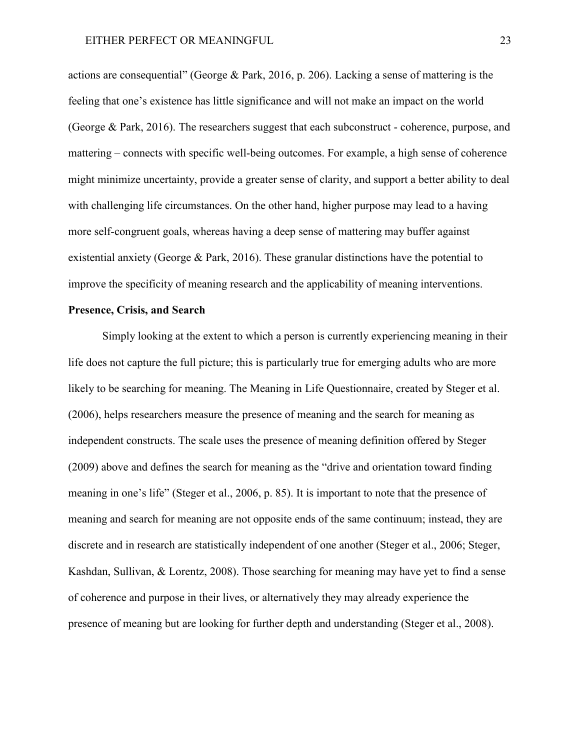actions are consequential" (George & Park, 2016, p. 206). Lacking a sense of mattering is the feeling that one's existence has little significance and will not make an impact on the world (George & Park, 2016). The researchers suggest that each subconstruct - coherence, purpose, and mattering – connects with specific well-being outcomes. For example, a high sense of coherence might minimize uncertainty, provide a greater sense of clarity, and support a better ability to deal with challenging life circumstances. On the other hand, higher purpose may lead to a having more self-congruent goals, whereas having a deep sense of mattering may buffer against existential anxiety (George & Park, 2016). These granular distinctions have the potential to improve the specificity of meaning research and the applicability of meaning interventions.

## **Presence, Crisis, and Search**

Simply looking at the extent to which a person is currently experiencing meaning in their life does not capture the full picture; this is particularly true for emerging adults who are more likely to be searching for meaning. The Meaning in Life Questionnaire, created by Steger et al. (2006), helps researchers measure the presence of meaning and the search for meaning as independent constructs. The scale uses the presence of meaning definition offered by Steger (2009) above and defines the search for meaning as the "drive and orientation toward finding meaning in one's life" (Steger et al., 2006, p. 85). It is important to note that the presence of meaning and search for meaning are not opposite ends of the same continuum; instead, they are discrete and in research are statistically independent of one another (Steger et al., 2006; Steger, Kashdan, Sullivan, & Lorentz, 2008). Those searching for meaning may have yet to find a sense of coherence and purpose in their lives, or alternatively they may already experience the presence of meaning but are looking for further depth and understanding (Steger et al., 2008).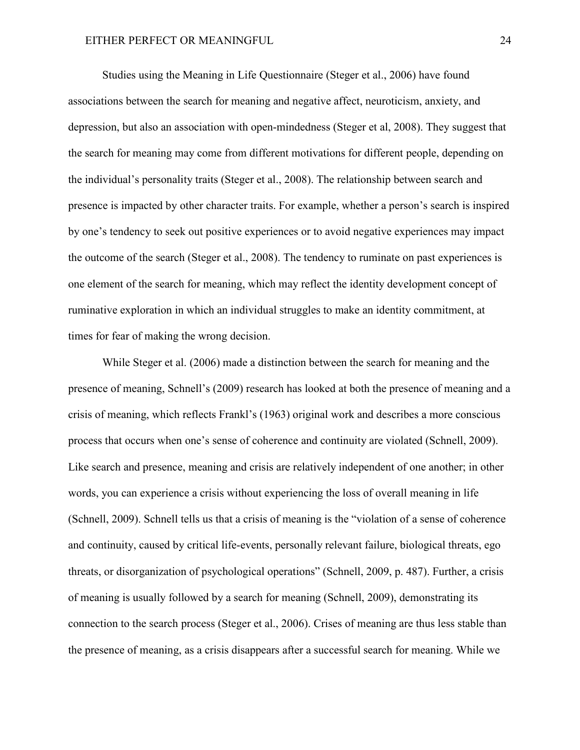Studies using the Meaning in Life Questionnaire (Steger et al., 2006) have found associations between the search for meaning and negative affect, neuroticism, anxiety, and depression, but also an association with open-mindedness (Steger et al, 2008). They suggest that the search for meaning may come from different motivations for different people, depending on the individual's personality traits (Steger et al., 2008). The relationship between search and presence is impacted by other character traits. For example, whether a person's search is inspired by one's tendency to seek out positive experiences or to avoid negative experiences may impact the outcome of the search (Steger et al., 2008). The tendency to ruminate on past experiences is one element of the search for meaning, which may reflect the identity development concept of ruminative exploration in which an individual struggles to make an identity commitment, at times for fear of making the wrong decision.

While Steger et al. (2006) made a distinction between the search for meaning and the presence of meaning, Schnell's (2009) research has looked at both the presence of meaning and a crisis of meaning, which reflects Frankl's (1963) original work and describes a more conscious process that occurs when one's sense of coherence and continuity are violated (Schnell, 2009). Like search and presence, meaning and crisis are relatively independent of one another; in other words, you can experience a crisis without experiencing the loss of overall meaning in life (Schnell, 2009). Schnell tells us that a crisis of meaning is the "violation of a sense of coherence and continuity, caused by critical life-events, personally relevant failure, biological threats, ego threats, or disorganization of psychological operations" (Schnell, 2009, p. 487). Further, a crisis of meaning is usually followed by a search for meaning (Schnell, 2009), demonstrating its connection to the search process (Steger et al., 2006). Crises of meaning are thus less stable than the presence of meaning, as a crisis disappears after a successful search for meaning. While we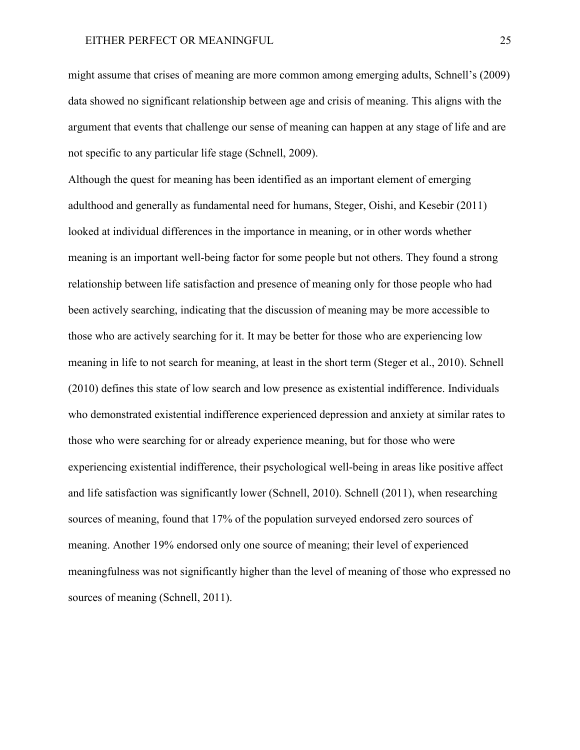might assume that crises of meaning are more common among emerging adults, Schnell's (2009) data showed no significant relationship between age and crisis of meaning. This aligns with the argument that events that challenge our sense of meaning can happen at any stage of life and are not specific to any particular life stage (Schnell, 2009).

Although the quest for meaning has been identified as an important element of emerging adulthood and generally as fundamental need for humans, Steger, Oishi, and Kesebir (2011) looked at individual differences in the importance in meaning, or in other words whether meaning is an important well-being factor for some people but not others. They found a strong relationship between life satisfaction and presence of meaning only for those people who had been actively searching, indicating that the discussion of meaning may be more accessible to those who are actively searching for it. It may be better for those who are experiencing low meaning in life to not search for meaning, at least in the short term (Steger et al., 2010). Schnell (2010) defines this state of low search and low presence as existential indifference. Individuals who demonstrated existential indifference experienced depression and anxiety at similar rates to those who were searching for or already experience meaning, but for those who were experiencing existential indifference, their psychological well-being in areas like positive affect and life satisfaction was significantly lower (Schnell, 2010). Schnell (2011), when researching sources of meaning, found that 17% of the population surveyed endorsed zero sources of meaning. Another 19% endorsed only one source of meaning; their level of experienced meaningfulness was not significantly higher than the level of meaning of those who expressed no sources of meaning (Schnell, 2011).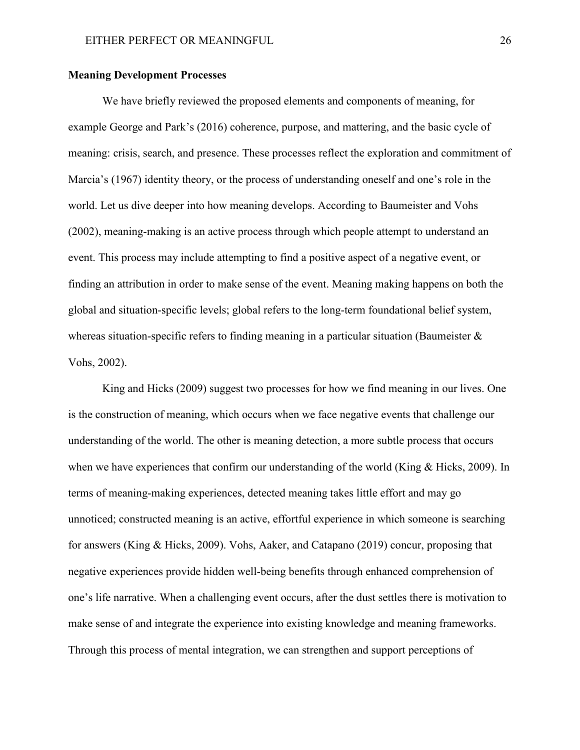## **Meaning Development Processes**

We have briefly reviewed the proposed elements and components of meaning, for example George and Park's (2016) coherence, purpose, and mattering, and the basic cycle of meaning: crisis, search, and presence. These processes reflect the exploration and commitment of Marcia's (1967) identity theory, or the process of understanding oneself and one's role in the world. Let us dive deeper into how meaning develops. According to Baumeister and Vohs (2002), meaning-making is an active process through which people attempt to understand an event. This process may include attempting to find a positive aspect of a negative event, or finding an attribution in order to make sense of the event. Meaning making happens on both the global and situation-specific levels; global refers to the long-term foundational belief system, whereas situation-specific refers to finding meaning in a particular situation (Baumeister & Vohs, 2002).

King and Hicks (2009) suggest two processes for how we find meaning in our lives. One is the construction of meaning, which occurs when we face negative events that challenge our understanding of the world. The other is meaning detection, a more subtle process that occurs when we have experiences that confirm our understanding of the world (King & Hicks, 2009). In terms of meaning-making experiences, detected meaning takes little effort and may go unnoticed; constructed meaning is an active, effortful experience in which someone is searching for answers (King & Hicks, 2009). Vohs, Aaker, and Catapano (2019) concur, proposing that negative experiences provide hidden well-being benefits through enhanced comprehension of one's life narrative. When a challenging event occurs, after the dust settles there is motivation to make sense of and integrate the experience into existing knowledge and meaning frameworks. Through this process of mental integration, we can strengthen and support perceptions of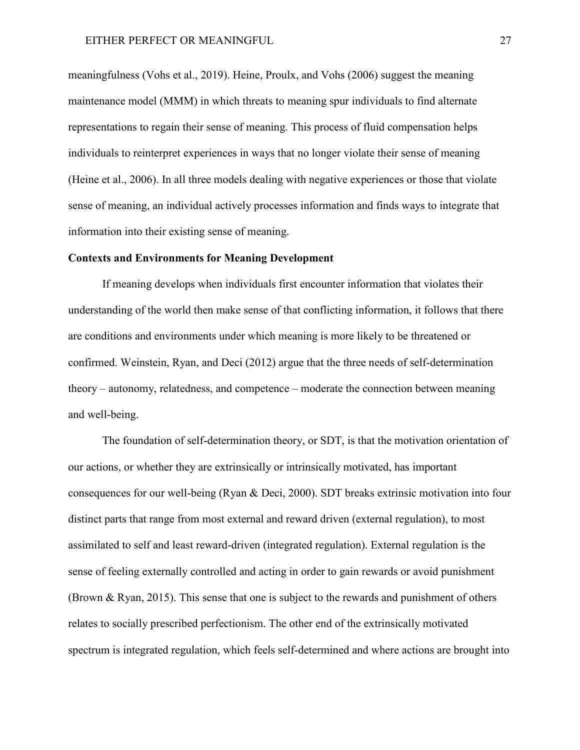meaningfulness (Vohs et al., 2019). Heine, Proulx, and Vohs (2006) suggest the meaning maintenance model (MMM) in which threats to meaning spur individuals to find alternate representations to regain their sense of meaning. This process of fluid compensation helps individuals to reinterpret experiences in ways that no longer violate their sense of meaning (Heine et al., 2006). In all three models dealing with negative experiences or those that violate sense of meaning, an individual actively processes information and finds ways to integrate that information into their existing sense of meaning.

## **Contexts and Environments for Meaning Development**

If meaning develops when individuals first encounter information that violates their understanding of the world then make sense of that conflicting information, it follows that there are conditions and environments under which meaning is more likely to be threatened or confirmed. Weinstein, Ryan, and Deci (2012) argue that the three needs of self-determination theory – autonomy, relatedness, and competence – moderate the connection between meaning and well-being.

The foundation of self-determination theory, or SDT, is that the motivation orientation of our actions, or whether they are extrinsically or intrinsically motivated, has important consequences for our well-being (Ryan & Deci, 2000). SDT breaks extrinsic motivation into four distinct parts that range from most external and reward driven (external regulation), to most assimilated to self and least reward-driven (integrated regulation). External regulation is the sense of feeling externally controlled and acting in order to gain rewards or avoid punishment (Brown & Ryan, 2015). This sense that one is subject to the rewards and punishment of others relates to socially prescribed perfectionism. The other end of the extrinsically motivated spectrum is integrated regulation, which feels self-determined and where actions are brought into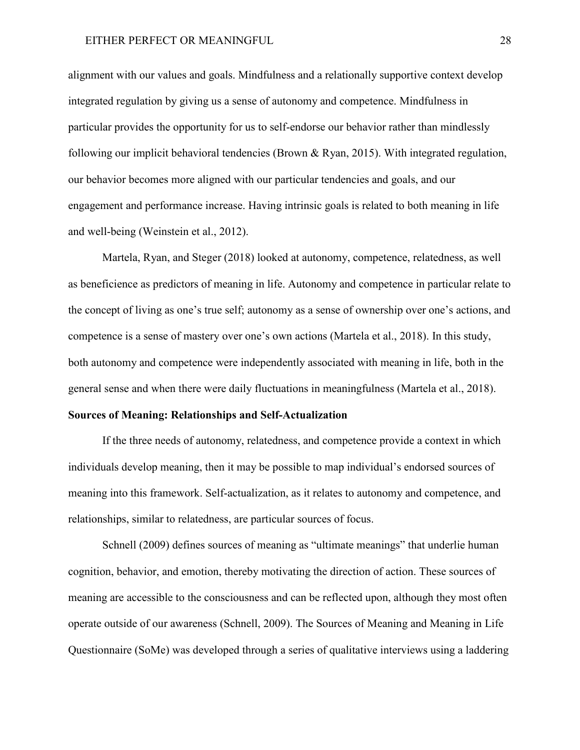alignment with our values and goals. Mindfulness and a relationally supportive context develop integrated regulation by giving us a sense of autonomy and competence. Mindfulness in particular provides the opportunity for us to self-endorse our behavior rather than mindlessly following our implicit behavioral tendencies (Brown & Ryan, 2015). With integrated regulation, our behavior becomes more aligned with our particular tendencies and goals, and our engagement and performance increase. Having intrinsic goals is related to both meaning in life and well-being (Weinstein et al., 2012).

Martela, Ryan, and Steger (2018) looked at autonomy, competence, relatedness, as well as beneficience as predictors of meaning in life. Autonomy and competence in particular relate to the concept of living as one's true self; autonomy as a sense of ownership over one's actions, and competence is a sense of mastery over one's own actions (Martela et al., 2018). In this study, both autonomy and competence were independently associated with meaning in life, both in the general sense and when there were daily fluctuations in meaningfulness (Martela et al., 2018).

## **Sources of Meaning: Relationships and Self-Actualization**

If the three needs of autonomy, relatedness, and competence provide a context in which individuals develop meaning, then it may be possible to map individual's endorsed sources of meaning into this framework. Self-actualization, as it relates to autonomy and competence, and relationships, similar to relatedness, are particular sources of focus.

Schnell (2009) defines sources of meaning as "ultimate meanings" that underlie human cognition, behavior, and emotion, thereby motivating the direction of action. These sources of meaning are accessible to the consciousness and can be reflected upon, although they most often operate outside of our awareness (Schnell, 2009). The Sources of Meaning and Meaning in Life Questionnaire (SoMe) was developed through a series of qualitative interviews using a laddering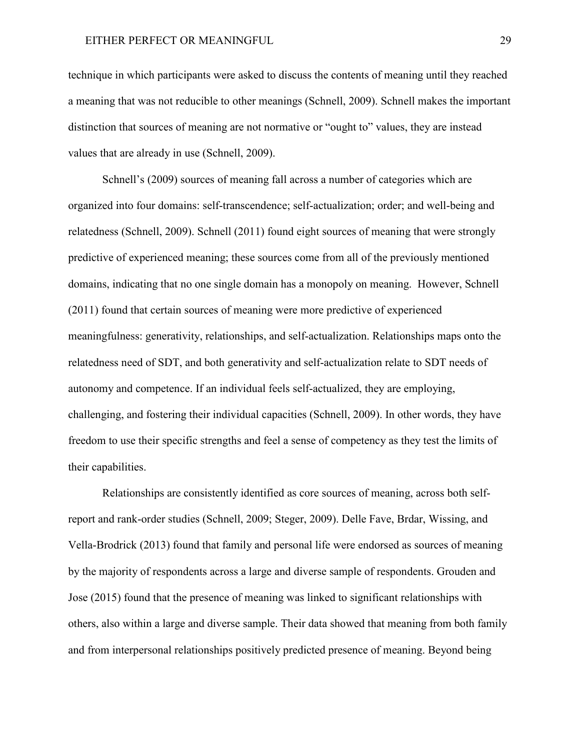technique in which participants were asked to discuss the contents of meaning until they reached a meaning that was not reducible to other meanings (Schnell, 2009). Schnell makes the important distinction that sources of meaning are not normative or "ought to" values, they are instead values that are already in use (Schnell, 2009).

Schnell's (2009) sources of meaning fall across a number of categories which are organized into four domains: self-transcendence; self-actualization; order; and well-being and relatedness (Schnell, 2009). Schnell (2011) found eight sources of meaning that were strongly predictive of experienced meaning; these sources come from all of the previously mentioned domains, indicating that no one single domain has a monopoly on meaning. However, Schnell (2011) found that certain sources of meaning were more predictive of experienced meaningfulness: generativity, relationships, and self-actualization. Relationships maps onto the relatedness need of SDT, and both generativity and self-actualization relate to SDT needs of autonomy and competence. If an individual feels self-actualized, they are employing, challenging, and fostering their individual capacities (Schnell, 2009). In other words, they have freedom to use their specific strengths and feel a sense of competency as they test the limits of their capabilities.

Relationships are consistently identified as core sources of meaning, across both selfreport and rank-order studies (Schnell, 2009; Steger, 2009). Delle Fave, Brdar, Wissing, and Vella-Brodrick (2013) found that family and personal life were endorsed as sources of meaning by the majority of respondents across a large and diverse sample of respondents. Grouden and Jose (2015) found that the presence of meaning was linked to significant relationships with others, also within a large and diverse sample. Their data showed that meaning from both family and from interpersonal relationships positively predicted presence of meaning. Beyond being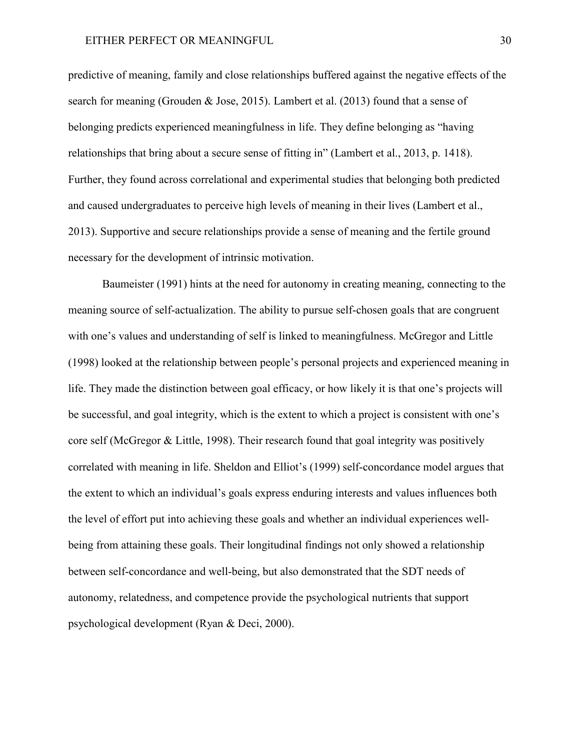predictive of meaning, family and close relationships buffered against the negative effects of the search for meaning (Grouden & Jose, 2015). Lambert et al. (2013) found that a sense of belonging predicts experienced meaningfulness in life. They define belonging as "having relationships that bring about a secure sense of fitting in" (Lambert et al., 2013, p. 1418). Further, they found across correlational and experimental studies that belonging both predicted and caused undergraduates to perceive high levels of meaning in their lives (Lambert et al., 2013). Supportive and secure relationships provide a sense of meaning and the fertile ground necessary for the development of intrinsic motivation.

Baumeister (1991) hints at the need for autonomy in creating meaning, connecting to the meaning source of self-actualization. The ability to pursue self-chosen goals that are congruent with one's values and understanding of self is linked to meaningfulness. McGregor and Little (1998) looked at the relationship between people's personal projects and experienced meaning in life. They made the distinction between goal efficacy, or how likely it is that one's projects will be successful, and goal integrity, which is the extent to which a project is consistent with one's core self (McGregor & Little, 1998). Their research found that goal integrity was positively correlated with meaning in life. Sheldon and Elliot's (1999) self-concordance model argues that the extent to which an individual's goals express enduring interests and values influences both the level of effort put into achieving these goals and whether an individual experiences wellbeing from attaining these goals. Their longitudinal findings not only showed a relationship between self-concordance and well-being, but also demonstrated that the SDT needs of autonomy, relatedness, and competence provide the psychological nutrients that support psychological development (Ryan & Deci, 2000).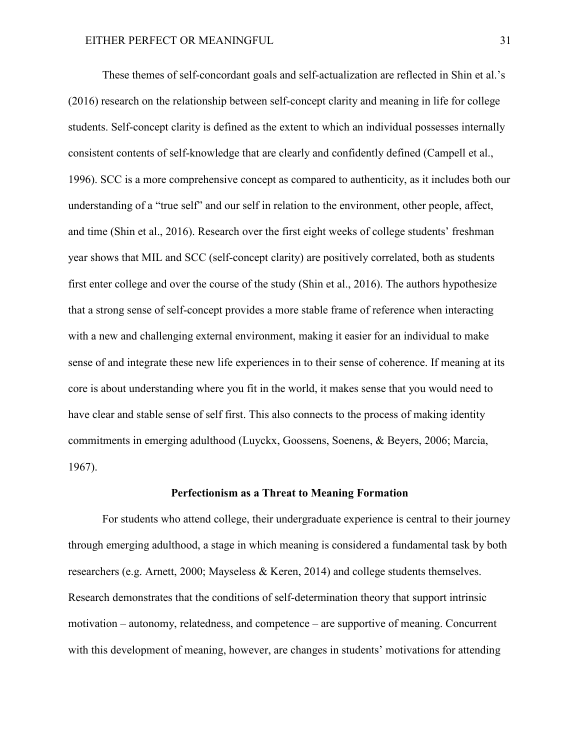These themes of self-concordant goals and self-actualization are reflected in Shin et al.'s (2016) research on the relationship between self-concept clarity and meaning in life for college students. Self-concept clarity is defined as the extent to which an individual possesses internally consistent contents of self-knowledge that are clearly and confidently defined (Campell et al., 1996). SCC is a more comprehensive concept as compared to authenticity, as it includes both our understanding of a "true self" and our self in relation to the environment, other people, affect, and time (Shin et al., 2016). Research over the first eight weeks of college students' freshman year shows that MIL and SCC (self-concept clarity) are positively correlated, both as students first enter college and over the course of the study (Shin et al., 2016). The authors hypothesize that a strong sense of self-concept provides a more stable frame of reference when interacting with a new and challenging external environment, making it easier for an individual to make sense of and integrate these new life experiences in to their sense of coherence. If meaning at its core is about understanding where you fit in the world, it makes sense that you would need to have clear and stable sense of self first. This also connects to the process of making identity commitments in emerging adulthood (Luyckx, Goossens, Soenens, & Beyers, 2006; Marcia, 1967).

## **Perfectionism as a Threat to Meaning Formation**

For students who attend college, their undergraduate experience is central to their journey through emerging adulthood, a stage in which meaning is considered a fundamental task by both researchers (e.g. Arnett, 2000; Mayseless & Keren, 2014) and college students themselves. Research demonstrates that the conditions of self-determination theory that support intrinsic motivation – autonomy, relatedness, and competence – are supportive of meaning. Concurrent with this development of meaning, however, are changes in students' motivations for attending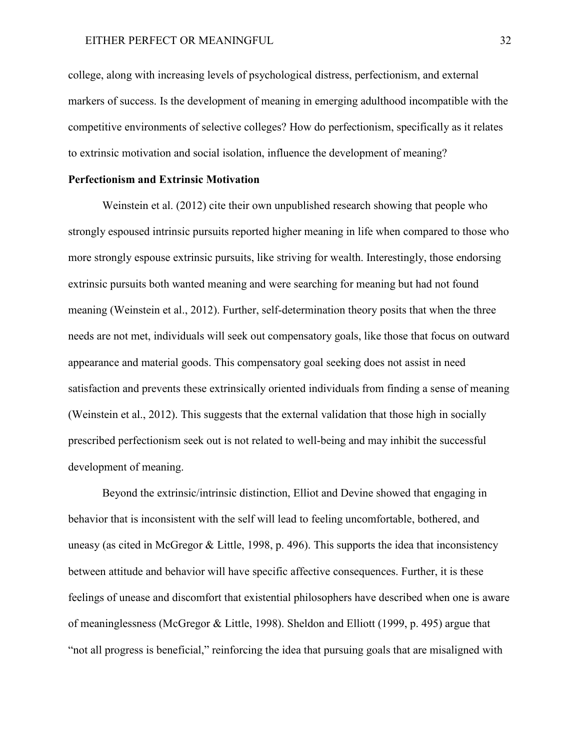college, along with increasing levels of psychological distress, perfectionism, and external markers of success. Is the development of meaning in emerging adulthood incompatible with the competitive environments of selective colleges? How do perfectionism, specifically as it relates to extrinsic motivation and social isolation, influence the development of meaning?

## **Perfectionism and Extrinsic Motivation**

Weinstein et al. (2012) cite their own unpublished research showing that people who strongly espoused intrinsic pursuits reported higher meaning in life when compared to those who more strongly espouse extrinsic pursuits, like striving for wealth. Interestingly, those endorsing extrinsic pursuits both wanted meaning and were searching for meaning but had not found meaning (Weinstein et al., 2012). Further, self-determination theory posits that when the three needs are not met, individuals will seek out compensatory goals, like those that focus on outward appearance and material goods. This compensatory goal seeking does not assist in need satisfaction and prevents these extrinsically oriented individuals from finding a sense of meaning (Weinstein et al., 2012). This suggests that the external validation that those high in socially prescribed perfectionism seek out is not related to well-being and may inhibit the successful development of meaning.

Beyond the extrinsic/intrinsic distinction, Elliot and Devine showed that engaging in behavior that is inconsistent with the self will lead to feeling uncomfortable, bothered, and uneasy (as cited in McGregor & Little, 1998, p. 496). This supports the idea that inconsistency between attitude and behavior will have specific affective consequences. Further, it is these feelings of unease and discomfort that existential philosophers have described when one is aware of meaninglessness (McGregor & Little, 1998). Sheldon and Elliott (1999, p. 495) argue that "not all progress is beneficial," reinforcing the idea that pursuing goals that are misaligned with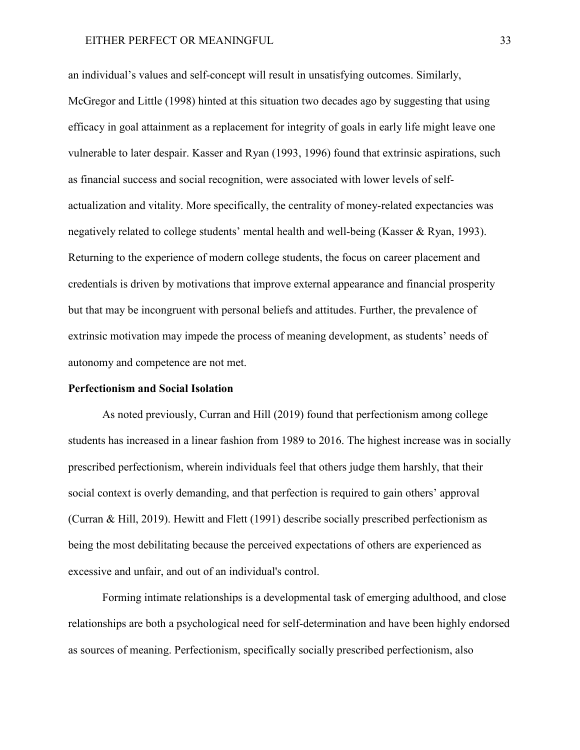## EITHER PERFECT OR MEANINGFUL 33

an individual's values and self-concept will result in unsatisfying outcomes. Similarly, McGregor and Little (1998) hinted at this situation two decades ago by suggesting that using efficacy in goal attainment as a replacement for integrity of goals in early life might leave one vulnerable to later despair. Kasser and Ryan (1993, 1996) found that extrinsic aspirations, such as financial success and social recognition, were associated with lower levels of selfactualization and vitality. More specifically, the centrality of money-related expectancies was negatively related to college students' mental health and well-being (Kasser & Ryan, 1993). Returning to the experience of modern college students, the focus on career placement and credentials is driven by motivations that improve external appearance and financial prosperity but that may be incongruent with personal beliefs and attitudes. Further, the prevalence of extrinsic motivation may impede the process of meaning development, as students' needs of autonomy and competence are not met.

## **Perfectionism and Social Isolation**

As noted previously, Curran and Hill (2019) found that perfectionism among college students has increased in a linear fashion from 1989 to 2016. The highest increase was in socially prescribed perfectionism, wherein individuals feel that others judge them harshly, that their social context is overly demanding, and that perfection is required to gain others' approval (Curran & Hill, 2019). Hewitt and Flett (1991) describe socially prescribed perfectionism as being the most debilitating because the perceived expectations of others are experienced as excessive and unfair, and out of an individual's control.

Forming intimate relationships is a developmental task of emerging adulthood, and close relationships are both a psychological need for self-determination and have been highly endorsed as sources of meaning. Perfectionism, specifically socially prescribed perfectionism, also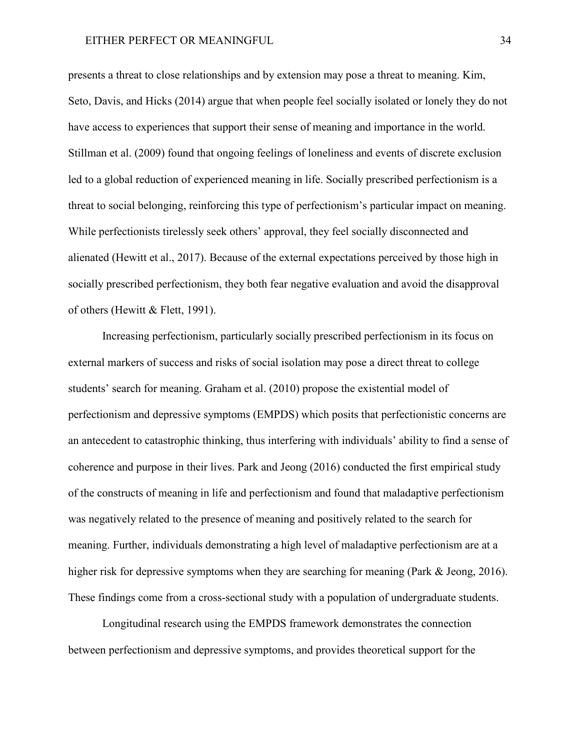presents a threat to close relationships and by extension may pose a threat to meaning. Kim, Seto, Davis, and Hicks (2014) argue that when people feel socially isolated or lonely they do not have access to experiences that support their sense of meaning and importance in the world. Stillman et al. (2009) found that ongoing feelings of loneliness and events of discrete exclusion led to a global reduction of experienced meaning in life. Socially prescribed perfectionism is a threat to social belonging, reinforcing this type of perfectionism's particular impact on meaning. While perfectionists tirelessly seek others' approval, they feel socially disconnected and alienated (Hewitt et al., 2017). Because of the external expectations perceived by those high in socially prescribed perfectionism, they both fear negative evaluation and avoid the disapproval of others (Hewitt & Flett, 1991).

Increasing perfectionism, particularly socially prescribed perfectionism in its focus on external markers of success and risks of social isolation may pose a direct threat to college students' search for meaning. Graham et al. (2010) propose the existential model of perfectionism and depressive symptoms (EMPDS) which posits that perfectionistic concerns are an antecedent to catastrophic thinking, thus interfering with individuals' ability to find a sense of coherence and purpose in their lives. Park and Jeong (2016) conducted the first empirical study of the constructs of meaning in life and perfectionism and found that maladaptive perfectionism was negatively related to the presence of meaning and positively related to the search for meaning. Further, individuals demonstrating a high level of maladaptive perfectionism are at a higher risk for depressive symptoms when they are searching for meaning (Park & Jeong, 2016). These findings come from a cross-sectional study with a population of undergraduate students.

Longitudinal research using the EMPDS framework demonstrates the connection between perfectionism and depressive symptoms, and provides theoretical support for the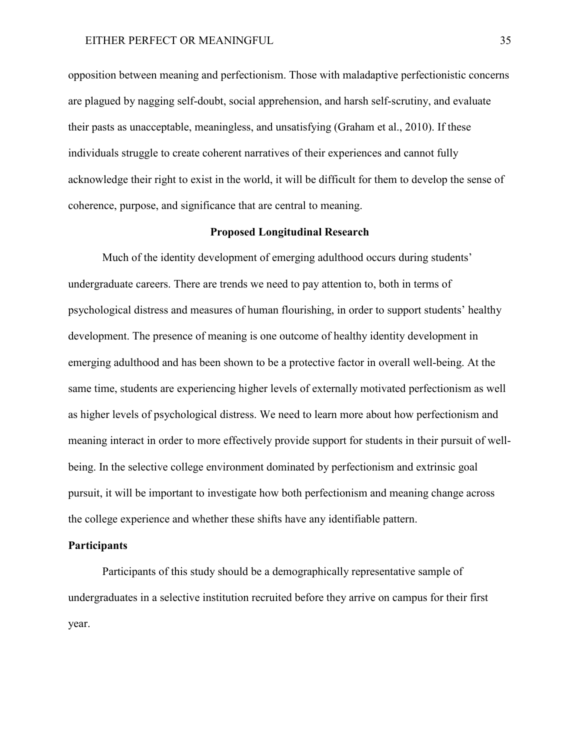opposition between meaning and perfectionism. Those with maladaptive perfectionistic concerns are plagued by nagging self-doubt, social apprehension, and harsh self-scrutiny, and evaluate their pasts as unacceptable, meaningless, and unsatisfying (Graham et al., 2010). If these individuals struggle to create coherent narratives of their experiences and cannot fully acknowledge their right to exist in the world, it will be difficult for them to develop the sense of coherence, purpose, and significance that are central to meaning.

## **Proposed Longitudinal Research**

Much of the identity development of emerging adulthood occurs during students' undergraduate careers. There are trends we need to pay attention to, both in terms of psychological distress and measures of human flourishing, in order to support students' healthy development. The presence of meaning is one outcome of healthy identity development in emerging adulthood and has been shown to be a protective factor in overall well-being. At the same time, students are experiencing higher levels of externally motivated perfectionism as well as higher levels of psychological distress. We need to learn more about how perfectionism and meaning interact in order to more effectively provide support for students in their pursuit of wellbeing. In the selective college environment dominated by perfectionism and extrinsic goal pursuit, it will be important to investigate how both perfectionism and meaning change across the college experience and whether these shifts have any identifiable pattern.

## **Participants**

Participants of this study should be a demographically representative sample of undergraduates in a selective institution recruited before they arrive on campus for their first year.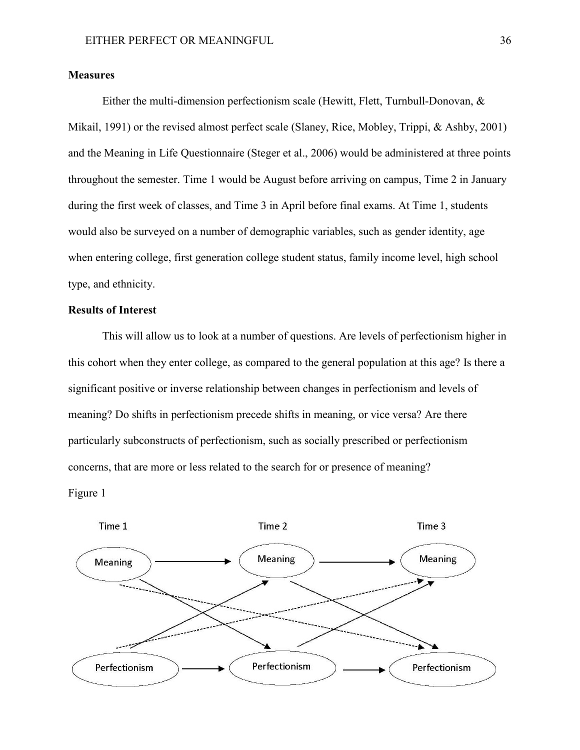## **Measures**

Either the multi-dimension perfectionism scale (Hewitt, Flett, Turnbull-Donovan, & Mikail, 1991) or the revised almost perfect scale (Slaney, Rice, Mobley, Trippi, & Ashby, 2001) and the Meaning in Life Questionnaire (Steger et al., 2006) would be administered at three points throughout the semester. Time 1 would be August before arriving on campus, Time 2 in January during the first week of classes, and Time 3 in April before final exams. At Time 1, students would also be surveyed on a number of demographic variables, such as gender identity, age when entering college, first generation college student status, family income level, high school type, and ethnicity.

## **Results of Interest**

This will allow us to look at a number of questions. Are levels of perfectionism higher in this cohort when they enter college, as compared to the general population at this age? Is there a significant positive or inverse relationship between changes in perfectionism and levels of meaning? Do shifts in perfectionism precede shifts in meaning, or vice versa? Are there particularly subconstructs of perfectionism, such as socially prescribed or perfectionism concerns, that are more or less related to the search for or presence of meaning? Figure 1

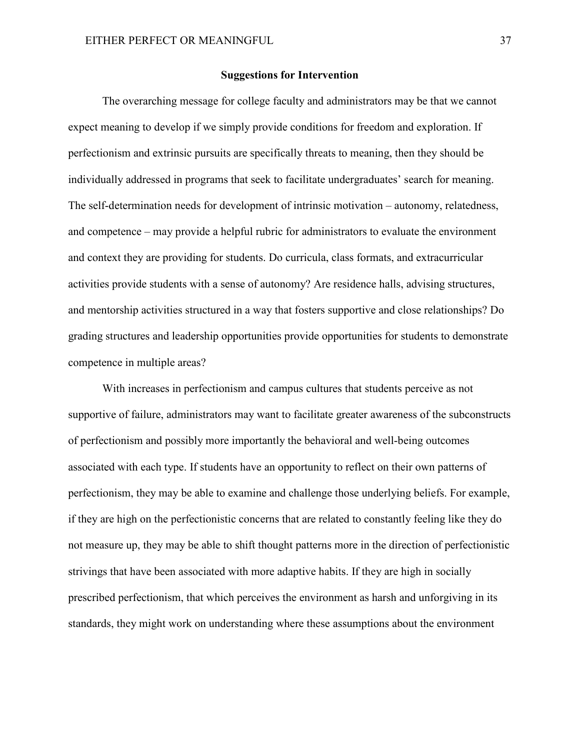## **Suggestions for Intervention**

The overarching message for college faculty and administrators may be that we cannot expect meaning to develop if we simply provide conditions for freedom and exploration. If perfectionism and extrinsic pursuits are specifically threats to meaning, then they should be individually addressed in programs that seek to facilitate undergraduates' search for meaning. The self-determination needs for development of intrinsic motivation – autonomy, relatedness, and competence – may provide a helpful rubric for administrators to evaluate the environment and context they are providing for students. Do curricula, class formats, and extracurricular activities provide students with a sense of autonomy? Are residence halls, advising structures, and mentorship activities structured in a way that fosters supportive and close relationships? Do grading structures and leadership opportunities provide opportunities for students to demonstrate competence in multiple areas?

With increases in perfectionism and campus cultures that students perceive as not supportive of failure, administrators may want to facilitate greater awareness of the subconstructs of perfectionism and possibly more importantly the behavioral and well-being outcomes associated with each type. If students have an opportunity to reflect on their own patterns of perfectionism, they may be able to examine and challenge those underlying beliefs. For example, if they are high on the perfectionistic concerns that are related to constantly feeling like they do not measure up, they may be able to shift thought patterns more in the direction of perfectionistic strivings that have been associated with more adaptive habits. If they are high in socially prescribed perfectionism, that which perceives the environment as harsh and unforgiving in its standards, they might work on understanding where these assumptions about the environment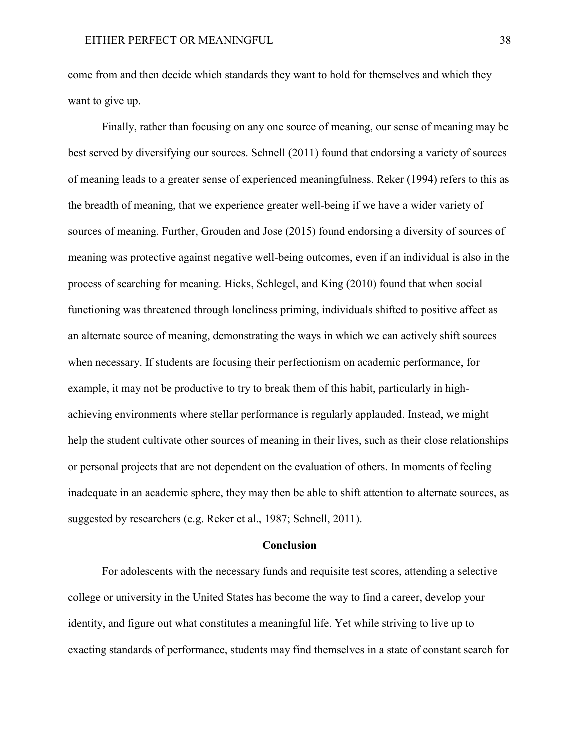come from and then decide which standards they want to hold for themselves and which they want to give up.

Finally, rather than focusing on any one source of meaning, our sense of meaning may be best served by diversifying our sources. Schnell (2011) found that endorsing a variety of sources of meaning leads to a greater sense of experienced meaningfulness. Reker (1994) refers to this as the breadth of meaning, that we experience greater well-being if we have a wider variety of sources of meaning. Further, Grouden and Jose (2015) found endorsing a diversity of sources of meaning was protective against negative well-being outcomes, even if an individual is also in the process of searching for meaning. Hicks, Schlegel, and King (2010) found that when social functioning was threatened through loneliness priming, individuals shifted to positive affect as an alternate source of meaning, demonstrating the ways in which we can actively shift sources when necessary. If students are focusing their perfectionism on academic performance, for example, it may not be productive to try to break them of this habit, particularly in highachieving environments where stellar performance is regularly applauded. Instead, we might help the student cultivate other sources of meaning in their lives, such as their close relationships or personal projects that are not dependent on the evaluation of others. In moments of feeling inadequate in an academic sphere, they may then be able to shift attention to alternate sources, as suggested by researchers (e.g. Reker et al., 1987; Schnell, 2011).

#### **Conclusion**

For adolescents with the necessary funds and requisite test scores, attending a selective college or university in the United States has become the way to find a career, develop your identity, and figure out what constitutes a meaningful life. Yet while striving to live up to exacting standards of performance, students may find themselves in a state of constant search for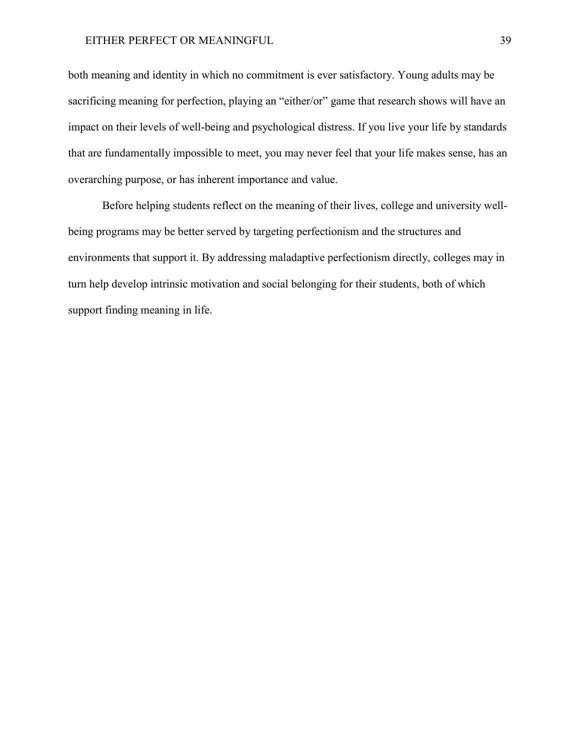## EITHER PERFECT OR MEANINGFUL 39

both meaning and identity in which no commitment is ever satisfactory. Young adults may be sacrificing meaning for perfection, playing an "either/or" game that research shows will have an impact on their levels of well-being and psychological distress. If you live your life by standards that are fundamentally impossible to meet, you may never feel that your life makes sense, has an overarching purpose, or has inherent importance and value.

Before helping students reflect on the meaning of their lives, college and university wellbeing programs may be better served by targeting perfectionism and the structures and environments that support it. By addressing maladaptive perfectionism directly, colleges may in turn help develop intrinsic motivation and social belonging for their students, both of which support finding meaning in life.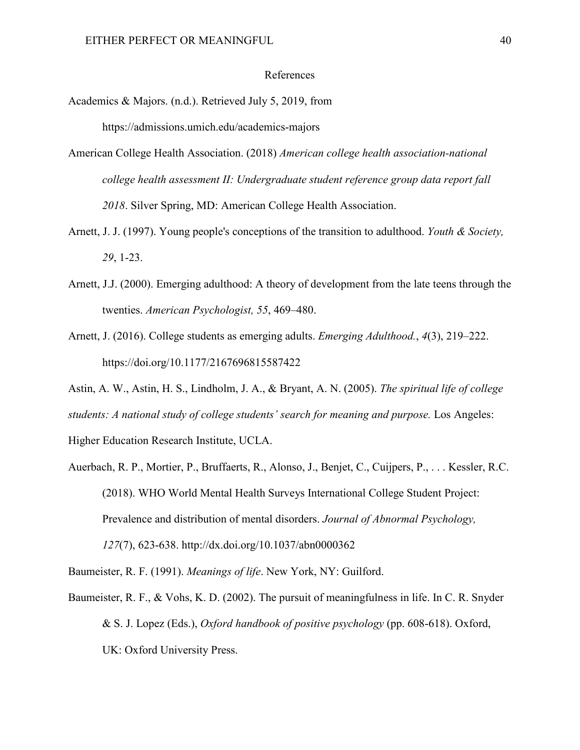#### References

- Academics & Majors. (n.d.). Retrieved July 5, 2019, from <https://admissions.umich.edu/academics-majors>
- American College Health Association. (2018) *American college health association-national college health assessment II: Undergraduate student reference group data report fall 2018*. Silver Spring, MD: American College Health Association.
- Arnett, J. J. (1997). Young people's conceptions of the transition to adulthood. *Youth & Society, 29*, 1-23.
- Arnett, J.J. (2000). Emerging adulthood: A theory of development from the late teens through the twenties. *American Psychologist, 55*, 469–480.
- Arnett, J. (2016). College students as emerging adults. *Emerging Adulthood.*, *4*(3), 219–222. https://doi.org/10.1177/2167696815587422
- Astin, A. W., Astin, H. S., Lindholm, J. A., & Bryant, A. N. (2005). *The spiritual life of college students: A national study of college students' search for meaning and purpose.* Los Angeles: Higher Education Research Institute, UCLA.
- Auerbach, R. P., Mortier, P., Bruffaerts, R., Alonso, J., Benjet, C., Cuijpers, P., . . . Kessler, R.C. (2018). WHO World Mental Health Surveys International College Student Project: Prevalence and distribution of mental disorders. *Journal of Abnormal Psychology, 127*(7), 623-638. http://dx.doi.org/10.1037/abn0000362

Baumeister, R. F. (1991). *Meanings of life*. New York, NY: Guilford.

Baumeister, R. F., & Vohs, K. D. (2002). The pursuit of meaningfulness in life. In C. R. Snyder & S. J. Lopez (Eds.), *Oxford handbook of positive psychology* (pp. 608-618). Oxford, UK: Oxford University Press.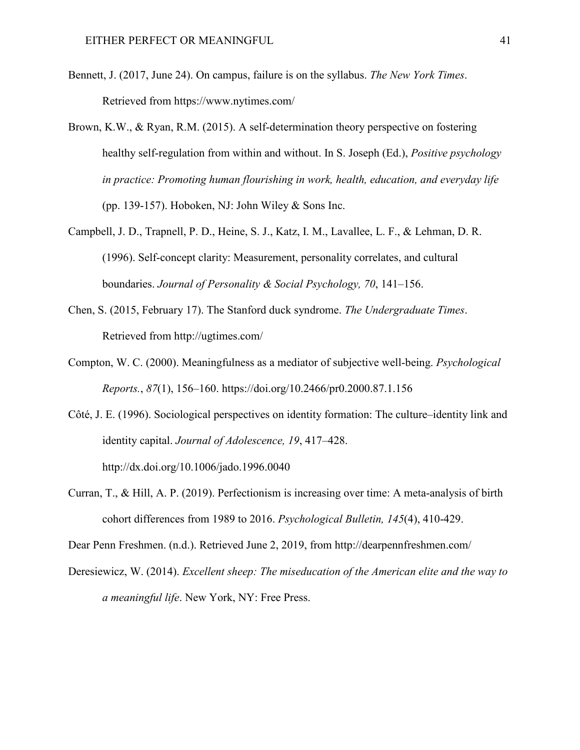- Bennett, J. (2017, June 24). On campus, failure is on the syllabus. *The New York Times*. Retrieved from https://www.nytimes.com/
- Brown, K.W., & Ryan, R.M. (2015). A self-determination theory perspective on fostering healthy self-regulation from within and without. In S. Joseph (Ed.), *Positive psychology in practice: Promoting human flourishing in work, health, education, and everyday life* (pp. 139-157). Hoboken, NJ: John Wiley  $&$  Sons Inc.
- Campbell, J. D., Trapnell, P. D., Heine, S. J., Katz, I. M., Lavallee, L. F., & Lehman, D. R. (1996). Self-concept clarity: Measurement, personality correlates, and cultural boundaries. *Journal of Personality & Social Psychology, 70*, 141–156.
- Chen, S. (2015, February 17). The Stanford duck syndrome. *The Undergraduate Times*. Retrieved from http://ugtimes.com/
- Compton, W. C. (2000). Meaningfulness as a mediator of subjective well-being. *Psychological Reports.*, *87*(1), 156–160. https://doi.org/10.2466/pr0.2000.87.1.156
- Côté, J. E. (1996). Sociological perspectives on identity formation: The culture–identity link and identity capital. *Journal of Adolescence, 19*, 417–428.

http://dx.doi.org/10.1006/jado.1996.0040

Curran, T., & Hill, A. P. (2019). Perfectionism is increasing over time: A meta-analysis of birth cohort differences from 1989 to 2016. *Psychological Bulletin, 145*(4), 410-429.

Dear Penn Freshmen. (n.d.). Retrieved June 2, 2019, from<http://dearpennfreshmen.com/>

Deresiewicz, W. (2014). *Excellent sheep: The miseducation of the American elite and the way to a meaningful life*. New York, NY: Free Press.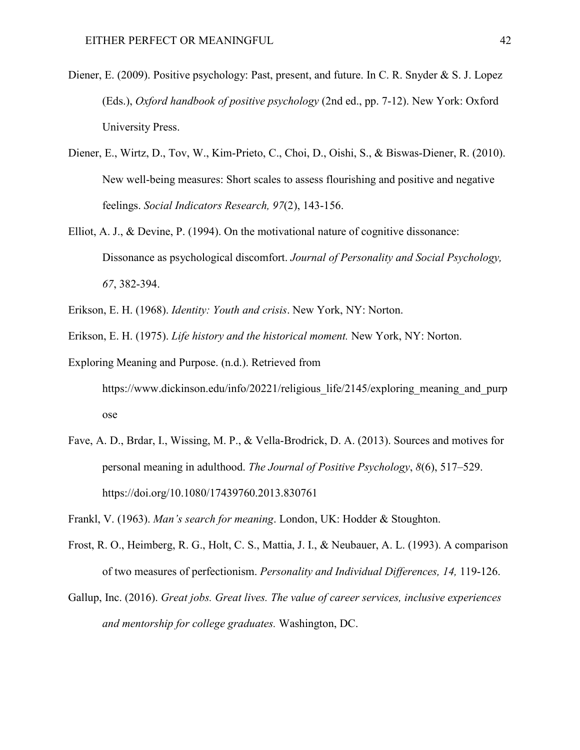- Diener, E. (2009). Positive psychology: Past, present, and future. In C. R. Snyder & S. J. Lopez (Eds.), *Oxford handbook of positive psychology* (2nd ed., pp. 7-12). New York: Oxford University Press.
- Diener, E., Wirtz, D., Tov, W., Kim-Prieto, C., Choi, D., Oishi, S., & Biswas-Diener, R. (2010). New well-being measures: Short scales to assess flourishing and positive and negative feelings. *Social Indicators Research, 97*(2), 143-156.
- Elliot, A. J., & Devine, P. (1994). On the motivational nature of cognitive dissonance: Dissonance as psychological discomfort. *Journal of Personality and Social Psychology, 67*, 382-394.
- Erikson, E. H. (1968). *Identity: Youth and crisis*. New York, NY: Norton.
- Erikson, E. H. (1975). *Life history and the historical moment.* New York, NY: Norton.
- Exploring Meaning and Purpose. (n.d.). Retrieved from https://www.dickinson.edu/info/20221/religious life/2145/exploring meaning and purp [ose](https://www.dickinson.edu/info/20221/religious_life/2145/exploring_meaning_and_purpose)
- Fave, A. D., Brdar, I., Wissing, M. P., & Vella-Brodrick, D. A. (2013). Sources and motives for personal meaning in adulthood. *The Journal of Positive Psychology*, *8*(6), 517–529. https://doi.org/10.1080/17439760.2013.830761

Frankl, V. (1963). *Man's search for meaning*. London, UK: Hodder & Stoughton.

- Frost, R. O., Heimberg, R. G., Holt, C. S., Mattia, J. I., & Neubauer, A. L. (1993). A comparison of two measures of perfectionism. *Personality and Individual Differences, 14,* 119-126.
- Gallup, Inc. (2016). *Great jobs. Great lives. The value of career services, inclusive experiences and mentorship for college graduates.* Washington, DC.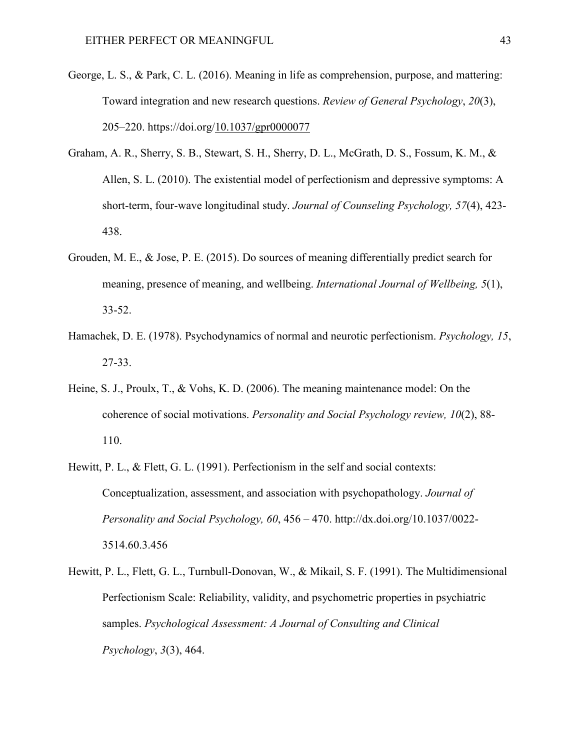- George, L. S., & Park, C. L. (2016). Meaning in life as comprehension, purpose, and mattering: Toward integration and new research questions. *Review of General Psychology*, *20*(3), 205–220. https://doi.org[/10.1037/gpr0000077](https://doi-org.proxy.library.upenn.edu/10.1037/gpr0000077)
- Graham, A. R., Sherry, S. B., Stewart, S. H., Sherry, D. L., McGrath, D. S., Fossum, K. M., & Allen, S. L. (2010). The existential model of perfectionism and depressive symptoms: A short-term, four-wave longitudinal study. *Journal of Counseling Psychology, 57*(4), 423- 438.
- Grouden, M. E., & Jose, P. E. (2015). Do sources of meaning differentially predict search for meaning, presence of meaning, and wellbeing. *International Journal of Wellbeing, 5*(1), 33-52.
- Hamachek, D. E. (1978). Psychodynamics of normal and neurotic perfectionism. *Psychology, 15*, 27-33.
- Heine, S. J., Proulx, T., & Vohs, K. D. (2006). The meaning maintenance model: On the coherence of social motivations. *Personality and Social Psychology review, 10*(2), 88- 110.
- Hewitt, P. L., & Flett, G. L. (1991). Perfectionism in the self and social contexts: Conceptualization, assessment, and association with psychopathology. *Journal of Personality and Social Psychology, 60*, 456 – 470. http://dx.doi.org/10.1037/0022- 3514.60.3.456
- Hewitt, P. L., Flett, G. L., Turnbull-Donovan, W., & Mikail, S. F. (1991). The Multidimensional Perfectionism Scale: Reliability, validity, and psychometric properties in psychiatric samples. *Psychological Assessment: A Journal of Consulting and Clinical Psychology*, *3*(3), 464.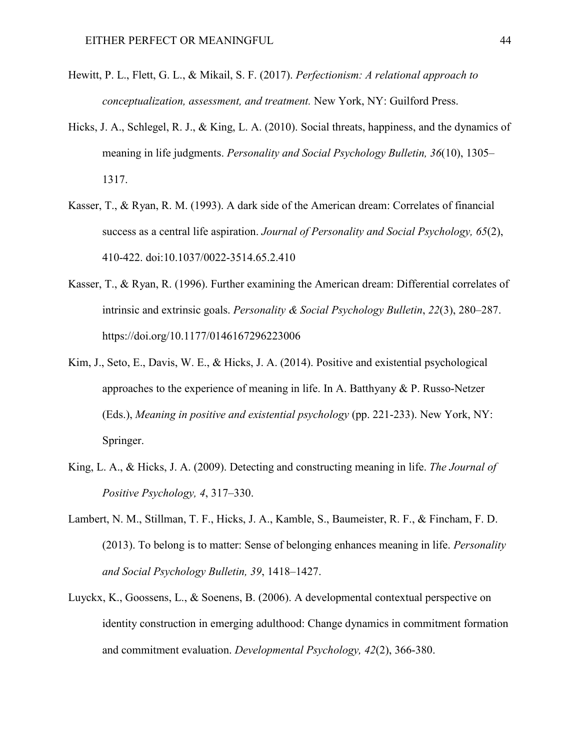- Hewitt, P. L., Flett, G. L., & Mikail, S. F. (2017). *Perfectionism: A relational approach to conceptualization, assessment, and treatment.* New York, NY: Guilford Press.
- Hicks, J. A., Schlegel, R. J., & King, L. A. (2010). Social threats, happiness, and the dynamics of meaning in life judgments. *Personality and Social Psychology Bulletin, 36*(10), 1305– 1317.
- Kasser, T., & Ryan, R. M. (1993). A dark side of the American dream: Correlates of financial success as a central life aspiration. *Journal of Personality and Social Psychology, 65*(2), 410-422. doi:10.1037/0022-3514.65.2.410
- Kasser, T., & Ryan, R. (1996). Further examining the American dream: Differential correlates of intrinsic and extrinsic goals. *Personality & Social Psychology Bulletin*, *22*(3), 280–287. <https://doi.org/10.1177/0146167296223006>
- Kim, J., Seto, E., Davis, W. E., & Hicks, J. A. (2014). Positive and existential psychological approaches to the experience of meaning in life. In A. Batthyany & P. Russo-Netzer (Eds.), *Meaning in positive and existential psychology* (pp. 221-233). New York, NY: Springer.
- King, L. A., & Hicks, J. A. (2009). Detecting and constructing meaning in life. *The Journal of Positive Psychology, 4*, 317–330.
- Lambert, N. M., Stillman, T. F., Hicks, J. A., Kamble, S., Baumeister, R. F., & Fincham, F. D. (2013). To belong is to matter: Sense of belonging enhances meaning in life. *Personality and Social Psychology Bulletin, 39*, 1418–1427.
- Luyckx, K., Goossens, L., & Soenens, B. (2006). A developmental contextual perspective on identity construction in emerging adulthood: Change dynamics in commitment formation and commitment evaluation. *Developmental Psychology, 42*(2), 366-380.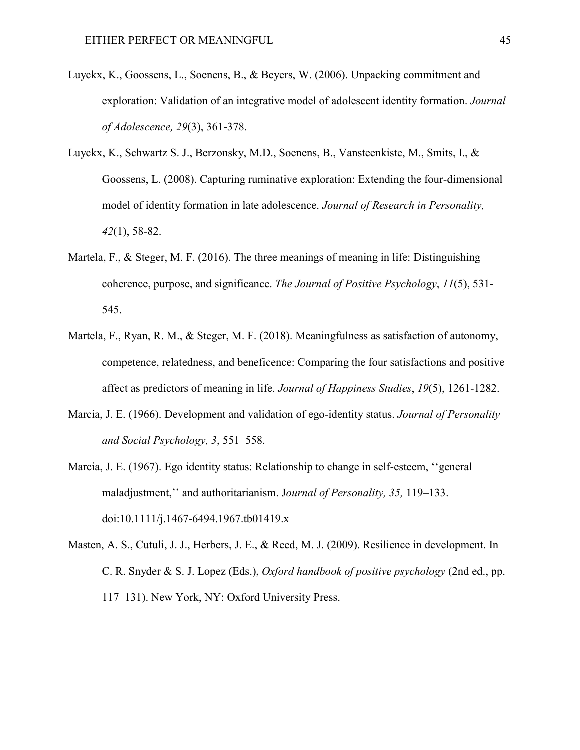- Luyckx, K., Goossens, L., Soenens, B., & Beyers, W. (2006). Unpacking commitment and exploration: Validation of an integrative model of adolescent identity formation. *Journal of Adolescence, 29*(3), 361-378.
- Luyckx, K., Schwartz S. J., Berzonsky, M.D., Soenens, B., Vansteenkiste, M., Smits, I., & Goossens, L. (2008). Capturing ruminative exploration: Extending the four-dimensional model of identity formation in late adolescence. *Journal of Research in Personality, 42*(1), 58-82.
- Martela, F., & Steger, M. F. (2016). The three meanings of meaning in life: Distinguishing coherence, purpose, and significance. *The Journal of Positive Psychology*, *11*(5), 531- 545.
- Martela, F., Ryan, R. M., & Steger, M. F. (2018). Meaningfulness as satisfaction of autonomy, competence, relatedness, and beneficence: Comparing the four satisfactions and positive affect as predictors of meaning in life. *Journal of Happiness Studies*, *19*(5), 1261-1282.
- Marcia, J. E. (1966). Development and validation of ego-identity status. *Journal of Personality and Social Psychology, 3*, 551–558.
- Marcia, J. E. (1967). Ego identity status: Relationship to change in self-esteem, ''general maladjustment,'' and authoritarianism. J*ournal of Personality, 35,* 119–133. doi:10.1111/j.1467-6494.1967.tb01419.x
- Masten, A. S., Cutuli, J. J., Herbers, J. E., & Reed, M. J. (2009). Resilience in development. In C. R. Snyder & S. J. Lopez (Eds.), *Oxford handbook of positive psychology* (2nd ed., pp. 117–131). New York, NY: Oxford University Press.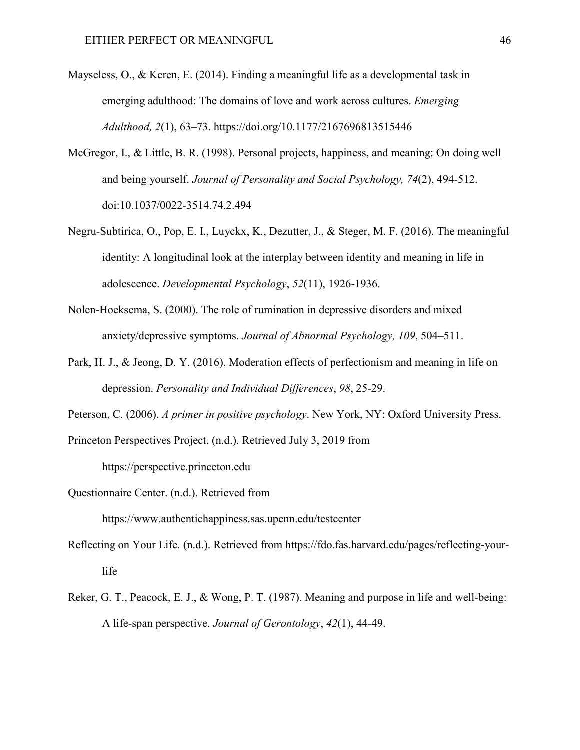- Mayseless, O., & Keren, E. (2014). Finding a meaningful life as a developmental task in emerging adulthood: The domains of love and work across cultures. *Emerging Adulthood, 2*(1), 63–73. https://doi.org/10.1177/2167696813515446
- McGregor, I., & Little, B. R. (1998). Personal projects, happiness, and meaning: On doing well and being yourself. *Journal of Personality and Social Psychology, 74*(2), 494-512. doi:10.1037/0022-3514.74.2.494
- Negru-Subtirica, O., Pop, E. I., Luyckx, K., Dezutter, J., & Steger, M. F. (2016). The meaningful identity: A longitudinal look at the interplay between identity and meaning in life in adolescence. *Developmental Psychology*, *52*(11), 1926-1936.
- Nolen-Hoeksema, S. (2000). The role of rumination in depressive disorders and mixed anxiety/depressive symptoms. *Journal of Abnormal Psychology, 109*, 504–511.
- Park, H. J., & Jeong, D. Y. (2016). Moderation effects of perfectionism and meaning in life on depression. *Personality and Individual Differences*, *98*, 25-29.
- Peterson, C. (2006). *A primer in positive psychology*. New York, NY: Oxford University Press.

Princeton Perspectives Project. (n.d.). Retrieved July 3, 2019 from

https://perspective.princeton.edu

- Questionnaire Center. (n.d.). Retrieved from https://www.authentichappiness.sas.upenn.edu/testcenter
- Reflecting on Your Life. (n.d.). Retrieved from https://fdo.fas.harvard.edu/pages/reflecting-yourlife
- Reker, G. T., Peacock, E. J., & Wong, P. T. (1987). Meaning and purpose in life and well-being: A life-span perspective. *Journal of Gerontology*, *42*(1), 44-49.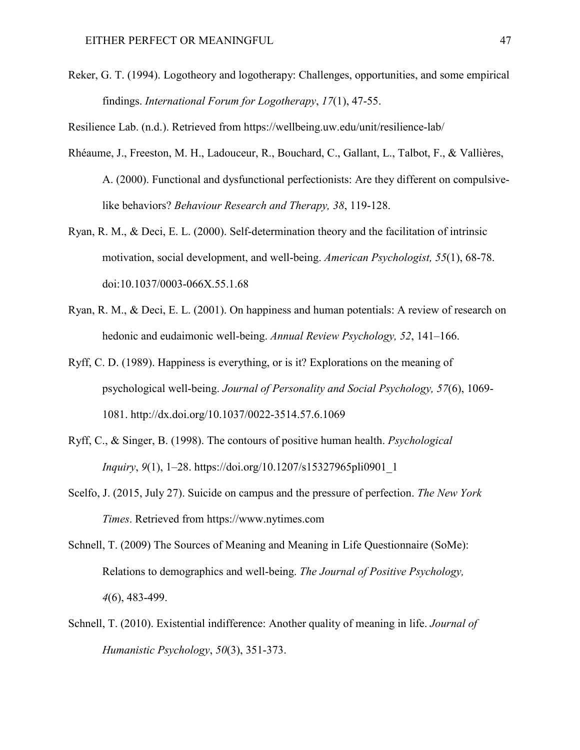Reker, G. T. (1994). Logotheory and logotherapy: Challenges, opportunities, and some empirical findings. *International Forum for Logotherapy*, *17*(1), 47-55.

Resilience Lab. (n.d.). Retrieved from https://wellbeing.uw.edu/unit/resilience-lab/

- Rhéaume, J., Freeston, M. H., Ladouceur, R., Bouchard, C., Gallant, L., Talbot, F., & Vallières, A. (2000). Functional and dysfunctional perfectionists: Are they different on compulsivelike behaviors? *Behaviour Research and Therapy, 38*, 119-128.
- Ryan, R. M., & Deci, E. L. (2000). Self-determination theory and the facilitation of intrinsic motivation, social development, and well-being. *American Psychologist, 55*(1), 68-78. doi:10.1037/0003-066X.55.1.68
- Ryan, R. M., & Deci, E. L. (2001). On happiness and human potentials: A review of research on hedonic and eudaimonic well-being. *Annual Review Psychology, 52*, 141–166.
- Ryff, C. D. (1989). Happiness is everything, or is it? Explorations on the meaning of psychological well-being. *Journal of Personality and Social Psychology, 57*(6), 1069- 1081. http://dx.doi.org/10.1037/0022-3514.57.6.1069
- Ryff, C., & Singer, B. (1998). The contours of positive human health. *Psychological Inquiry*, *9*(1), 1–28. https://doi.org/10.1207/s15327965pli0901\_1
- Scelfo, J. (2015, July 27). Suicide on campus and the pressure of perfection. *The New York Times*. Retrieved from https://www.nytimes.com
- Schnell, T. (2009) The Sources of Meaning and Meaning in Life Questionnaire (SoMe): Relations to demographics and well-being. *The Journal of Positive Psychology, 4*(6), 483-499.
- Schnell, T. (2010). Existential indifference: Another quality of meaning in life. *Journal of Humanistic Psychology*, *50*(3), 351-373.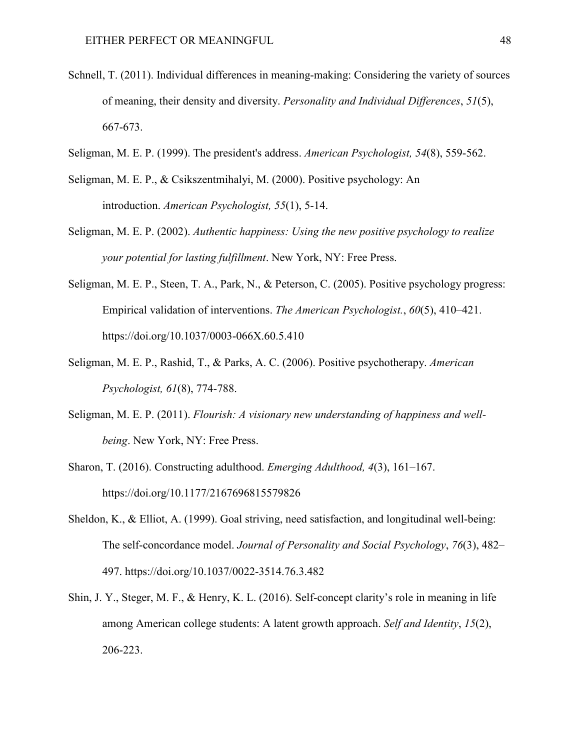- Schnell, T. (2011). Individual differences in meaning-making: Considering the variety of sources of meaning, their density and diversity. *Personality and Individual Differences*, *51*(5), 667-673.
- Seligman, M. E. P. (1999). The president's address. *American Psychologist, 54*(8), 559-562.
- Seligman, M. E. P., & Csikszentmihalyi, M. (2000). Positive psychology: An introduction. *American Psychologist, 55*(1), 5-14.
- Seligman, M. E. P. (2002). *Authentic happiness: Using the new positive psychology to realize your potential for lasting fulfillment*. New York, NY: Free Press.
- Seligman, M. E. P., Steen, T. A., Park, N., & Peterson, C. (2005). Positive psychology progress: Empirical validation of interventions. *The American Psychologist.*, *60*(5), 410–421. https://doi.org/10.1037/0003-066X.60.5.410
- Seligman, M. E. P., Rashid, T., & Parks, A. C. (2006). Positive psychotherapy. *American Psychologist, 61*(8), 774-788.
- Seligman, M. E. P. (2011). *Flourish: A visionary new understanding of happiness and wellbeing*. New York, NY: Free Press.
- Sharon, T. (2016). Constructing adulthood. *Emerging Adulthood, 4*(3), 161–167. https://doi.org/10.1177/2167696815579826
- Sheldon, K., & Elliot, A. (1999). Goal striving, need satisfaction, and longitudinal well-being: The self-concordance model. *Journal of Personality and Social Psychology*, *76*(3), 482– 497. https://doi.org/10.1037/0022-3514.76.3.482
- Shin, J. Y., Steger, M. F., & Henry, K. L. (2016). Self-concept clarity's role in meaning in life among American college students: A latent growth approach. *Self and Identity*, *15*(2), 206-223.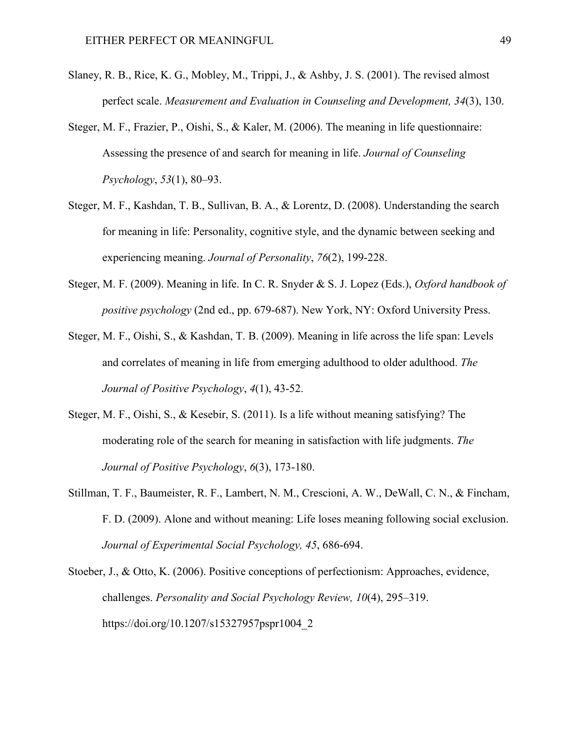- Slaney, R. B., Rice, K. G., Mobley, M., Trippi, J., & Ashby, J. S. (2001). The revised almost perfect scale. *Measurement and Evaluation in Counseling and Development, 34*(3), 130.
- Steger, M. F., Frazier, P., Oishi, S., & Kaler, M. (2006). The meaning in life questionnaire: Assessing the presence of and search for meaning in life. *Journal of Counseling Psychology*, *53*(1), 80–93.
- Steger, M. F., Kashdan, T. B., Sullivan, B. A., & Lorentz, D. (2008). Understanding the search for meaning in life: Personality, cognitive style, and the dynamic between seeking and experiencing meaning. *Journal of Personality*, *76*(2), 199-228.
- Steger, M. F. (2009). Meaning in life. In C. R. Snyder & S. J. Lopez (Eds.), *Oxford handbook of positive psychology* (2nd ed., pp. 679-687). New York, NY: Oxford University Press.
- Steger, M. F., Oishi, S., & Kashdan, T. B. (2009). Meaning in life across the life span: Levels and correlates of meaning in life from emerging adulthood to older adulthood. *The Journal of Positive Psychology*, *4*(1), 43-52.
- Steger, M. F., Oishi, S., & Kesebir, S. (2011). Is a life without meaning satisfying? The moderating role of the search for meaning in satisfaction with life judgments. *The Journal of Positive Psychology*, *6*(3), 173-180.
- Stillman, T. F., Baumeister, R. F., Lambert, N. M., Crescioni, A. W., DeWall, C. N., & Fincham, F. D. (2009). Alone and without meaning: Life loses meaning following social exclusion. *Journal of Experimental Social Psychology, 45*, 686-694.
- Stoeber, J., & Otto, K. (2006). Positive conceptions of perfectionism: Approaches, evidence, challenges. *Personality and Social Psychology Review, 10*(4), 295–319. https://doi.org/10.1207/s15327957pspr1004\_2